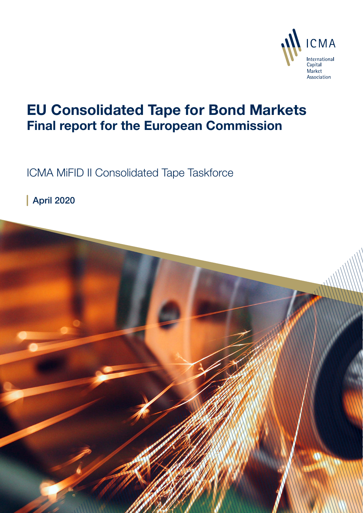

# EU Consolidated Tape for Bond Markets Final report for the European Commission

ICMA MiFID II Consolidated Tape Taskforce

April 2020

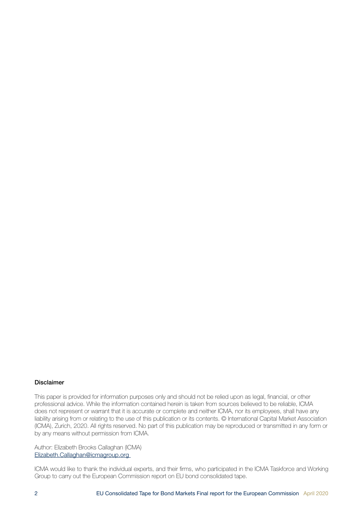#### Disclaimer

This paper is provided for information purposes only and should not be relied upon as legal, financial, or other professional advice. While the information contained herein is taken from sources believed to be reliable, ICMA does not represent or warrant that it is accurate or complete and neither ICMA, nor its employees, shall have any liability arising from or relating to the use of this publication or its contents. © International Capital Market Association (ICMA), Zurich, 2020. All rights reserved. No part of this publication may be reproduced or transmitted in any form or by any means without permission from ICMA.

Author: Elizabeth Brooks Callaghan (ICMA) Elizabeth.Callaghan@icmagroup.org

ICMA would like to thank the individual experts, and their firms, who participated in the ICMA Taskforce and Working Group to carry out the European Commission report on EU bond consolidated tape.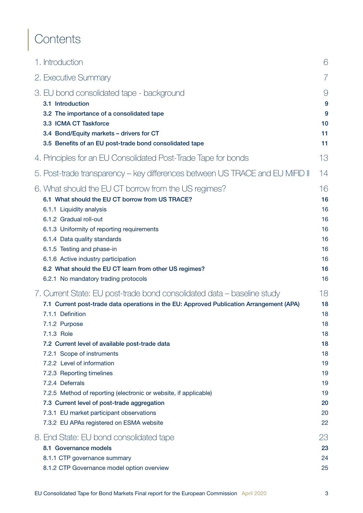# **Contents**

| 1. Introduction                                                                                                                                                                                                                                                                                                                                                                                                                                                                                                                                                                                 | 6                                                                                |
|-------------------------------------------------------------------------------------------------------------------------------------------------------------------------------------------------------------------------------------------------------------------------------------------------------------------------------------------------------------------------------------------------------------------------------------------------------------------------------------------------------------------------------------------------------------------------------------------------|----------------------------------------------------------------------------------|
| 2. Executive Summary                                                                                                                                                                                                                                                                                                                                                                                                                                                                                                                                                                            | $\overline{7}$                                                                   |
| 3. EU bond consolidated tape - background<br>3.1 Introduction<br>3.2 The importance of a consolidated tape<br>3.3 ICMA CT Taskforce<br>3.4 Bond/Equity markets - drivers for CT<br>3.5 Benefits of an EU post-trade bond consolidated tape                                                                                                                                                                                                                                                                                                                                                      | $\Theta$<br>9<br>9<br>10<br>11<br>11                                             |
| 4. Principles for an EU Consolidated Post-Trade Tape for bonds                                                                                                                                                                                                                                                                                                                                                                                                                                                                                                                                  | 13                                                                               |
| 5. Post-trade transparency - key differences between US TRACE and EU MiFID II                                                                                                                                                                                                                                                                                                                                                                                                                                                                                                                   | 14                                                                               |
| 6. What should the EU CT borrow from the US regimes?<br>6.1 What should the EU CT borrow from US TRACE?<br>6.1.1 Liquidity analysis<br>6.1.2 Gradual roll-out<br>6.1.3 Uniformity of reporting requirements<br>6.1.4 Data quality standards<br>6.1.5 Testing and phase-in<br>6.1.6 Active industry participation<br>6.2 What should the EU CT learn from other US regimes?<br>6.2.1 No mandatory trading protocols                                                                                                                                                                              | 16<br>16<br>16<br>16<br>16<br>16<br>16<br>16<br>16<br>16                         |
| 7. Current State: EU post-trade bond consolidated data – baseline study<br>7.1 Current post-trade data operations in the EU: Approved Publication Arrangement (APA)<br>7.1.1 Definition<br>7.1.2 Purpose<br>7.1.3 Role<br>7.2 Current level of available post-trade data<br>7.2.1 Scope of instruments<br>7.2.2 Level of information<br>7.2.3 Reporting timelines<br>7.2.4 Deferrals<br>7.2.5 Method of reporting (electronic or website, if applicable)<br>7.3 Current level of post-trade aggregation<br>7.3.1 EU market participant observations<br>7.3.2 EU APAs registered on ESMA website | 18<br>18<br>18<br>18<br>18<br>18<br>18<br>19<br>19<br>19<br>19<br>20<br>20<br>22 |
| 8. End State: EU bond consolidated tape                                                                                                                                                                                                                                                                                                                                                                                                                                                                                                                                                         | 23                                                                               |
| 8.1 Governance models<br>8.1.1 CTP governance summary<br>8.1.2 CTP Governance model option overview                                                                                                                                                                                                                                                                                                                                                                                                                                                                                             | 23<br>24<br>25                                                                   |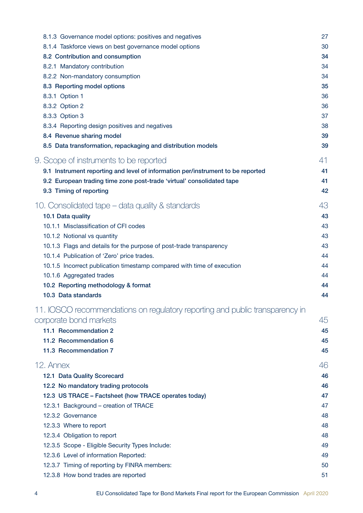| 8.1.3 Governance model options: positives and negatives                         | 27 |
|---------------------------------------------------------------------------------|----|
| 8.1.4 Taskforce views on best governance model options                          | 30 |
| 8.2 Contribution and consumption                                                | 34 |
| 8.2.1 Mandatory contribution                                                    | 34 |
| 8.2.2 Non-mandatory consumption                                                 | 34 |
| 8.3 Reporting model options                                                     | 35 |
| 8.3.1 Option 1                                                                  | 36 |
| 8.3.2 Option 2                                                                  | 36 |
| 8.3.3 Option 3                                                                  | 37 |
| 8.3.4 Reporting design positives and negatives                                  | 38 |
| 8.4 Revenue sharing model                                                       | 39 |
| 8.5 Data transformation, repackaging and distribution models                    | 39 |
| 9. Scope of instruments to be reported                                          | 41 |
| 9.1 Instrument reporting and level of information per/instrument to be reported | 41 |
| 9.2 European trading time zone post-trade 'virtual' consolidated tape           | 41 |
| 9.3 Timing of reporting                                                         | 42 |
| 10. Consolidated tape – data quality & standards                                | 43 |
| 10.1 Data quality                                                               | 43 |
| 10.1.1 Misclassification of CFI codes                                           | 43 |
| 10.1.2 Notional vs quantity                                                     | 43 |
| 10.1.3 Flags and details for the purpose of post-trade transparency             | 43 |
| 10.1.4 Publication of 'Zero' price trades.                                      | 44 |
| 10.1.5 Incorrect publication timestamp compared with time of execution          | 44 |
| 10.1.6 Aggregated trades                                                        | 44 |
| 10.2 Reporting methodology & format                                             | 44 |
| 10.3 Data standards                                                             | 44 |
|                                                                                 |    |
| 11. IOSCO recommendations on regulatory reporting and public transparency in    |    |
| corporate bond markets                                                          | 45 |
| 11.1 Recommendation 2                                                           | 45 |
| 11.2 Recommendation 6                                                           | 45 |
| 11.3 Recommendation 7                                                           | 45 |
| 12. Annex                                                                       | 46 |
| 12.1 Data Quality Scorecard                                                     | 46 |
| 12.2 No mandatory trading protocols                                             | 46 |
| 12.3 US TRACE - Factsheet (how TRACE operates today)                            | 47 |
| 12.3.1 Background - creation of TRACE                                           | 47 |
| 12.3.2 Governance                                                               | 48 |
| 12.3.3 Where to report                                                          | 48 |
| 12.3.4 Obligation to report                                                     | 48 |
| 12.3.5 Scope - Eligible Security Types Include:                                 | 49 |
| 12.3.6 Level of information Reported:                                           | 49 |
| 12.3.7 Timing of reporting by FINRA members:                                    | 50 |
| 12.3.8 How bond trades are reported                                             | 51 |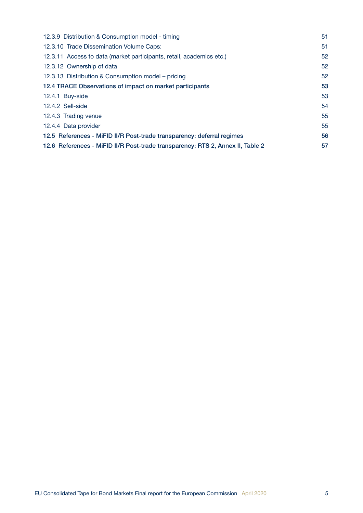| 12.3.9 Distribution & Consumption model - timing                               | 51 |
|--------------------------------------------------------------------------------|----|
| 12.3.10 Trade Dissemination Volume Caps:                                       | 51 |
| 12.3.11 Access to data (market participants, retail, academics etc.)           | 52 |
| 12.3.12 Ownership of data                                                      | 52 |
| 12.3.13 Distribution & Consumption model – pricing                             | 52 |
| 12.4 TRACE Observations of impact on market participants                       | 53 |
| 12.4.1 Buy-side                                                                | 53 |
| 12.4.2 Sell-side                                                               | 54 |
| 12.4.3 Trading venue                                                           | 55 |
| 12.4.4 Data provider                                                           | 55 |
| 12.5 References - MiFID II/R Post-trade transparency: deferral regimes         | 56 |
| 12.6 References - MiFID II/R Post-trade transparency: RTS 2, Annex II, Table 2 | 57 |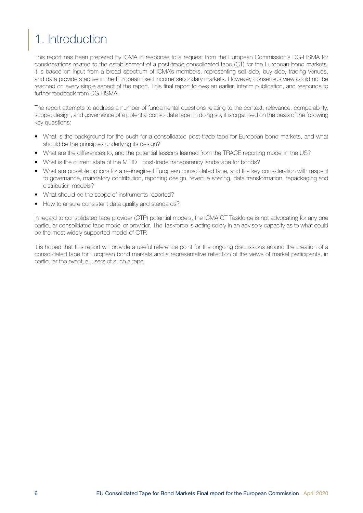# <span id="page-5-0"></span>1. Introduction

This report has been prepared by ICMA in response to a request from the European Commission's DG-FISMA for considerations related to the establishment of a post-trade consolidated tape (CT) for the European bond markets. It is based on input from a broad spectrum of ICMA's members, representing sell-side, buy-side, trading venues, and data providers active in the European fixed income secondary markets. However, consensus view could not be reached on every single aspect of the report. This final report follows an earlier, interim publication, and responds to further feedback from DG FISMA.

The report attempts to address a number of fundamental questions relating to the context, relevance, comparability, scope, design, and governance of a potential consolidate tape. In doing so, it is organised on the basis of the following key questions:

- What is the background for the push for a consolidated post-trade tape for European bond markets, and what should be the principles underlying its design?
- What are the differences to, and the potential lessons learned from the TRACE reporting model in the US?
- What is the current state of the MiFID II post-trade transparency landscape for bonds?
- What are possible options for a re-imagined European consolidated tape, and the key consideration with respect to governance, mandatory contribution, reporting design, revenue sharing, data transformation, repackaging and distribution models?
- What should be the scope of instruments reported?
- How to ensure consistent data quality and standards?

In regard to consolidated tape provider (CTP) potential models, the ICMA CT Taskforce is not advocating for any one particular consolidated tape model or provider. The Taskforce is acting solely in an advisory capacity as to what could be the most widely supported model of CTP.

It is hoped that this report will provide a useful reference point for the ongoing discussions around the creation of a consolidated tape for European bond markets and a representative reflection of the views of market participants, in particular the eventual users of such a tape.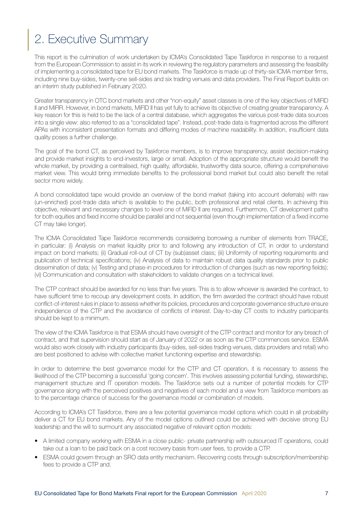# <span id="page-6-0"></span>2. Executive Summary

This report is the culmination of work undertaken by ICMA's Consolidated Tape Taskforce in response to a request from the European Commission to assist in its work in reviewing the regulatory parameters and assessing the feasibility of implementing a consolidated tape for EU bond markets. The Taskforce is made up of thirty-six ICMA member firms, including nine buy-sides, twenty-one sell-sides and six trading venues and data providers. The Final Report builds on an interim study published in February 2020.

Greater transparency in OTC bond markets and other "non-equity" asset classes is one of the key objectives of MiFID II and MiFIR. However, in bond markets, MiFID II has yet fully to achieve its objective of creating greater transparency. A key reason for this is held to be the lack of a central database, which aggregates the various post-trade data sources into a single view: also referred to as a "consolidated tape". Instead, post-trade data is fragmented across the different APAs with inconsistent presentation formats and differing modes of machine readability. In addition, insufficient data quality poses a further challenge.

The goal of the bond CT, as perceived by Taskforce members, is to improve transparency, assist decision-making and provide market insights to end-investors, large or small. Adoption of the appropriate structure would benefit the whole market, by providing a centralised, high quality, affordable, trustworthy data source, offering a comprehensive market view. This would bring immediate benefits to the professional bond market but could also benefit the retail sector more widely.

A bond consolidated tape would provide an overview of the bond market (taking into account deferrals) with raw (un-enriched) post-trade data which is available to the public, both professional and retail clients. In achieving this objective, relevant and necessary changes to level one of MiFID II are required. Furthermore, CT development paths for both equities and fixed income should be parallel and not sequential (even though implementation of a fixed income CT may take longer).

The ICMA Consolidated Tape Taskforce recommends considering borrowing a number of elements from TRACE, in particular: (i) Analysis on market liquidity prior to and following any introduction of CT, in order to understand impact on bond markets; (ii) Gradual roll-out of CT by (sub)asset class; (iii) Uniformity of reporting requirements and publication of technical specifications; (iv) Analysis of data to maintain robust data quality standards prior to public dissemination of data; (v) Testing and phase-in procedures for introduction of changes (such as new reporting fields); (vi) Communication and consultation with stakeholders to validate changes on a technical level.

The CTP contract should be awarded for no less than five years. This is to allow whoever is awarded the contract, to have sufficient time to recoup any development costs. In addition, the firm awarded the contract should have robust conflict-of-interest rules in place to assess whether its policies, procedures and corporate governance structure ensure independence of the CTP and the avoidance of conflicts of interest. Day-to-day CT costs to industry participants should be kept to a minimum.

The view of the ICMA Taskforce is that ESMA should have oversight of the CTP contract and monitor for any breach of contract, and that supervision should start as of January of 2022 or as soon as the CTP commences service. ESMA would also work closely with industry participants (buy-sides, sell-sides trading venues, data providers and retail) who are best positioned to advise with collective market functioning expertise and stewardship.

In order to determine the best governance model for the CTP and CT operation, it is necessary to assess the likelihood of the CTP becoming a successful 'going concern'. This involves assessing potential funding, stewardship, management structure and IT operation models. The Taskforce sets out a number of potential models for CTP governance along with the perceived positives and negatives of each model and a view from Taskforce members as to the percentage chance of success for the governance model or combination of models.

According to ICMA's CT Taskforce, there are a few potential governance model options which could in all probability deliver a CT for EU bond markets. Any of the model options outlined could be achieved with decisive strong EU leadership and the will to surmount any associated negative of relevant option models:

- A limited company working with ESMA in a close public- private partnership with outsourced IT operations, could take out a loan to be paid back on a cost recovery basis from user fees, to provide a CTP.
- ESMA could govern through an SRO data entity mechanism. Recovering costs through subscription/membership fees to provide a CTP and.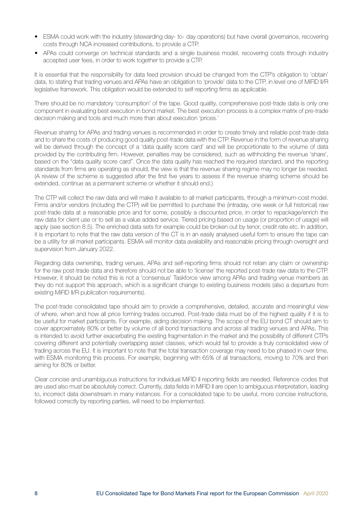- ESMA could work with the industry (stewarding day- to- day operations) but have overall governance, recovering costs through NCA increased contributions, to provide a CTP.
- APAs could converge on technical standards and a single business model, recovering costs through industry accepted user fees, in order to work together to provide a CTP.

It is essential that the responsibility for data feed provision should be changed from the CTP's obligation to 'obtain' data, to stating that trading venues and APAs have an obligation to 'provide' data to the CTP, in level one of MiFID II/R legislative framework. This obligation would be extended to self-reporting firms as applicable.

There should be no mandatory 'consumption' of the tape. Good quality, comprehensive post-trade data is only one component in evaluating best execution in bond market. The best execution process is a complex matrix of pre-trade decision making and tools and much more than about execution 'prices.'

Revenue sharing for APAs and trading venues is recommended in order to create timely and reliable post-trade data and to share the costs of producing good quality post-trade data with the CTP. Revenue in the form of revenue sharing will be derived through the concept of a 'data quality score card' and will be proportionate to the volume of data provided by the contributing firm. However, penalties may be considered, such as withholding the revenue 'share', based on the "data quality score card". Once the data quality has reached the required standard, and the reporting standards from firms are operating as should, the view is that the revenue sharing regime may no longer be needed. (A review of the scheme is suggested after the first five years to assess if the revenue sharing scheme should be extended, continue as a permanent scheme or whether it should end.)

The CTP will collect the raw data and will make it available to all market participants, through a minimum-cost model. Firms and/or vendors (including the CTP) will be permitted to purchase the (intraday, one week or full historical) raw post-trade data at a reasonable price and for some, possibly a discounted price, in order to repackage/enrich the raw data for client use or to sell as a value added service. Tiered pricing based on usage (or proportion of usage) will apply (see section 8.5). The enriched data sets for example could be broken out by tenor, credit rate etc. In addition, it is important to note that the raw data version of the CT is in an easily analysed useful form to ensure the tape can be a utility for all market participants. ESMA will monitor data availability and reasonable pricing through oversight and supervision from January 2022.

Regarding data ownership, trading venues, APAs and self-reporting firms should not retain any claim or ownership for the raw post-trade data and therefore should not be able to 'license' the reported post-trade raw data to the CTP. However, it should be noted this is not a 'consensus' Taskforce view among APAs and trading venue members as they do not support this approach, which is a significant change to existing business models (also a departure from existing MiFID II/R publication requirements).

The post-trade consolidated tape should aim to provide a comprehensive, detailed, accurate and meaningful view of where, when and how all price forming trades occurred. Post-trade data must be of the highest quality if it is to be useful for market participants. For example, aiding decision making. The scope of the EU bond CT should aim to cover approximately 80% or better by volume of all bond transactions and across all trading venues and APAs. This is intended to avoid further exacerbating the existing fragmentation in the market and the possibility of different CTPs covering different and potentially overlapping asset classes, which would fail to provide a truly consolidated view of trading across the EU. It is important to note that the total transaction coverage may need to be phased in over time, with ESMA monitoring this process. For example, beginning with 65% of all transactions, moving to 70% and then aiming for 80% or better.

Clear concise and unambiguous instructions for individual MiFID II reporting fields are needed. Reference codes that are used also must be absolutely correct. Currently, data fields in MiFID II are open to ambiguous interpretation, leading to, incorrect data downstream in many instances. For a consolidated tape to be useful, more concise instructions, followed correctly by reporting parties, will need to be implemented.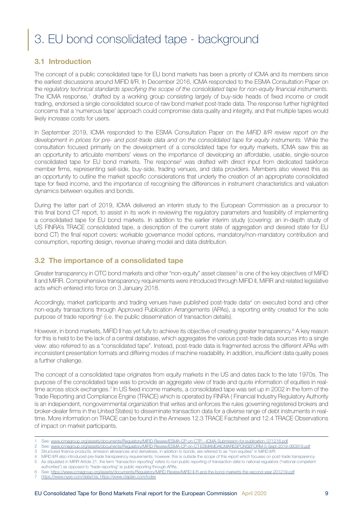# <span id="page-8-0"></span>3. EU bond consolidated tape - background

## 3.1 Introduction

The concept of a public consolidated tape for EU bond markets has been a priority of ICMA and its members since the earliest discussions around MiFID II/R. In December 2016, ICMA responded to the ESMA Consultation Paper on the *regulatory technical standards specifying the scope of the consolidated tape for non-equity financial instruments.* The ICMA response,1 drafted by a working group consisting largely of buy-side heads of fixed income or credit trading, endorsed a single consolidated source of raw bond market post-trade data. The response further highlighted concerns that a 'numerous tape' approach could compromise data quality and integrity, and that multiple tapes would likely increase costs for users.

In September 2019, ICMA responded to the ESMA Consultation Paper on the *MiFID II/R review report on the development in prices for pre- and post-trade data and on the consolidated tape for equity instruments.* While the consultation focused primarily on the development of a consolidated tape for equity markets, ICMA saw this as an opportunity to articulate members' views on the importance of developing an affordable, usable, single-source consolidated tape for EU bond markets. The response<sup>2</sup> was drafted with direct input from dedicated taskforce member firms, representing sell-side, buy-side, trading venues, and data providers. Members also viewed this as an opportunity to outline the market specific considerations that underly the creation of an appropriate consolidated tape for fixed income, and the importance of recognising the differences in instrument characteristics and valuation dynamics between equities and bonds.

During the latter part of 2019, ICMA delivered an interim study to the European Commission as a precursor to this final bond CT report, to assist in its work in reviewing the regulatory parameters and feasibility of implementing a consolidated tape for EU bond markets. In addition to the earlier interim study (covering: an in-depth study of US FINRA's TRACE consolidated tape, a description of the current state of aggregation and desired state for EU bond CT) the final report covers: workable governance model options, mandatory/non-mandatory contribution and consumption, reporting design, revenue sharing model and data distribution.

### 3.2 The importance of a consolidated tape

Greater transparency in OTC bond markets and other "non-equity" asset classes<sup>3</sup> is one of the key objectives of MiFID II and MiFIR. Comprehensive transparency requirements were introduced through MiFID II, MiFIR and related legislative acts which entered into force on 3 January 2018.

Accordingly, market participants and trading venues have published post-trade data<sup>4</sup> on executed bond and other non-equity transactions through Approved Publication Arrangements (APAs), a reporting entity created for the sole purpose of trade reporting<sup>5</sup> (i.e. the public dissemination of transaction details).

However, in bond markets, MiFID II has yet fully to achieve its objective of creating greater transparency.<sup>6</sup> A key reason for this is held to be the lack of a central database, which aggregates the various post-trade data sources into a single view: also referred to as a "consolidated tape". Instead, post-trade data is fragmented across the different APAs with inconsistent presentation formats and differing modes of machine readability. In addition, insufficient data quality poses a further challenge.

The concept of a consolidated tape originates from equity markets in the US and dates back to the late 1970s. The purpose of the consolidated tape was to provide an aggregate view of trade and quote information of equities in realtime across stock exchanges.<sup>7</sup> In US fixed income markets, a consolidated tape was set up in 2002 in the form of the Trade Reporting and Compliance Engine (TRACE) which is operated by FINRA ( Financial Industry Regulatory Authority is an independent, nongovernmental organization that writes and enforces the rules governing registered brokers and broker-dealer firms in the United States) to disseminate transaction data for a diverse range of debt instruments in realtime. More information on TRACE can be found in the Annexes 12.3 TRACE Factsheet and 12.4 TRACE Observations of impact on market participants.

- See: [www.icmagroup.org/assets/documents/Regulatory/MiFID-Review/ESMA-CP-on-CTP---ICMA-Submission-for-publication\\_071216.pdf](http://www.icmagroup.org/assets/documents/Regulatory/MiFID-Review/ESMA-CP-on-CTP---ICMA-Submission-for-publication_071216.pdf)
- 2 See: [www.icmagroup.org/assets/documents/Regulatory/MiFID-Review/ESMA-CP-on-CT-ESMAMDAICMARESPONSEFORM-5-Sept-2019-060919.pdf](https://www.icmagroup.org/assets/documents/Regulatory/MiFID-Review/ESMA-CP-on-CT-ESMAMDAICMARESPONSEFORM-5-Sept-2019-060919.pdf) 3 Structured finance products, emission allowances and derivatives, in addition to bonds, are referred to as "non-equities" in MiFID II/R.

[https://www.nyse.com/data/cta; https://www.ctaplan.com/index](https://www.nyse.com/data/cta)

<sup>4</sup> MiFID II/R also introduced pre-trade transparency requirements; however, this is outside the scope of this report which focuses on post-trade transparency. 5 As stipulated in MiFIR Article 21, the term "transaction reporting" refers to non-public reporting of transaction data to national regulators ("national competent

authorities") as opposed to "trade reporting" ie public reporting through APAs. 6 See: <https://www.icmagroup.org/assets/documents/Regulatory/MiFID-Review/MiFID-II-R-and-the-bond-markerts-the-second-year-201219.pdf>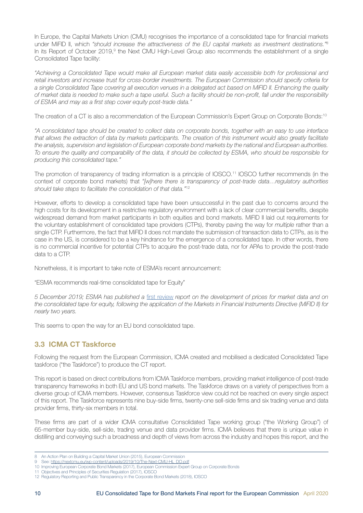<span id="page-9-0"></span>In Europe, the Capital Markets Union (CMU) recognises the importance of a consolidated tape for financial markets under MiFID II, which *"should increase the attractiveness of the EU capital markets as investment destinations."*<sup>8</sup> In its Report of October 2019,<sup>9</sup> the Next CMU High-Level Group also recommends the establishment of a single Consolidated Tape facility:

*"Achieving a Consolidated Tape would make all European market data easily accessible both for professional and retail investors and increase trust for cross-border investments. The European Commission should specify criteria for a single Consolidated Tape covering all execution venues in a delegated act based on MiFID II. Enhancing the quality of market data is needed to make such a tape useful. Such a facility should be non-profit, fall under the responsibility of ESMA and may as a first step cover equity post-trade data."*

The creation of a CT is also a recommendation of the European Commission's Expert Group on Corporate Bonds:10

*"A consolidated tape should be created to collect data on corporate bonds, together with an easy to use interface that allows the extraction of data by markets participants. The creation of this instrument would also greatly facilitate the analysis, supervision and legislation of European corporate bond markets by the national and European authorities. To ensure the quality and comparability of the data, it should be collected by ESMA, who should be responsible for producing this consolidated tape."*

The promotion of transparency of trading information is a principle of IOSCO.11 IOSCO further recommends (in the context of corporate bond markets) that *"[w]here there is transparency of post-trade data…regulatory authorities should take steps to facilitate the consolidation of that data."*<sup>12</sup>

However, efforts to develop a consolidated tape have been unsuccessful in the past due to concerns around the high costs for its development in a restrictive regulatory environment with a lack of clear commercial benefits, despite widespread demand from market participants in both equities and bond markets. MiFID II laid out requirements for the voluntary establishment of consolidated tape providers (CTPs), thereby paving the way for *multiple* rather than a single CTP. Furthermore, the fact that MiFID II does not mandate the submission of transaction data to CTPs, as is the case in the US, is considered to be a key hindrance for the emergence of a consolidated tape. In other words, there is no commercial incentive for potential CTPs to acquire the post-trade data, nor for APAs to provide the post-trade data to a CTP.

Nonetheless, it is important to take note of ESMA's recent announcement:

"ESMA recommends real-time consolidated tape for Equity"

*5 December 2019; ESMA has published a* [first review](https://www.esma.europa.eu/press-news/esma-news/esma-recommends-real-time-consolidated-tape-equity) *report on the development of prices for market data and on the consolidated tape for equity, following the application of the Markets in Financial Instruments Directive (MiFID II) for nearly two years.*

This seems to open the way for an EU bond consolidated tape.

## 3.3 ICMA CT Taskforce

Following the request from the European Commission, ICMA created and mobilised a dedicated Consolidated Tape taskforce ("the Taskforce") to produce the CT report.

This report is based on direct contributions from ICMA Taskforce members, providing market intelligence of post-trade transparency frameworks in both EU and US bond markets. The Taskforce draws on a variety of perspectives from a diverse group of ICMA members. However, consensus Taskforce view could not be reached on every single aspect of this report. The Taskforce represents nine buy-side firms, twenty-one sell-side firms and six trading venue and data provider firms, thirty-six members in total.

These firms are part of a wider ICMA consultative Consolidated Tape working group ("the Working Group") of 65-member buy-side, sell-side, trading venue and data provider firms. ICMA believes that there is unique value in distilling and conveying such a broadness and depth of views from across the industry and hopes this report, and the

<sup>8</sup> An Action Plan on Building a Capital Market Union (2015), European Commission

See: [https://nextcmu.eu/wp-content/uploads/2019/10/The-Next-CMU-HL\\_DO.pdf](https://nextcmu.eu/wp-content/uploads/2019/10/The-Next-CMU-HL_DO.pdf)

<sup>10</sup> Improving European Corporate Bond Markets (2017), European Commission Expert Group on Corporate Bonds

<sup>11</sup> Objectives and Principles of Securities Regulation (2017), IOSCO

<sup>12</sup> Regulatory Reporting and Public Transparency in the Corporate Bond Markets (2018), IOSCO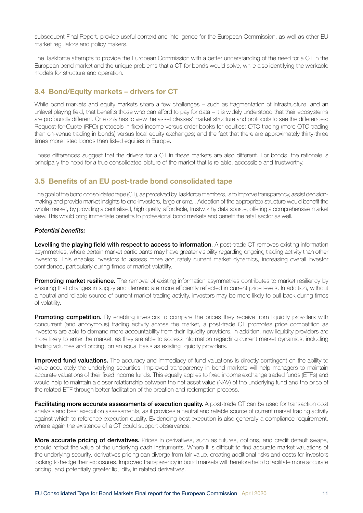<span id="page-10-0"></span>subsequent Final Report, provide useful context and intelligence for the European Commission, as well as other EU market regulators and policy makers.

The Taskforce attempts to provide the European Commission with a better understanding of the need for a CT in the European bond market and the unique problems that a CT for bonds would solve, while also identifying the workable models for structure and operation.

#### 3.4 Bond/Equity markets – drivers for CT

While bond markets and equity markets share a few challenges – such as fragmentation of infrastructure, and an unlevel playing field, that benefits those who can afford to pay for data – it is widely understood that their ecosystems are profoundly different. One only has to view the asset classes' market structure and protocols to see the differences: Request-for-Quote (RFQ) protocols in fixed income versus order books for equities; OTC trading (more OTC trading than on-venue trading in bonds) versus local equity exchanges; and the fact that there are approximately thirty-three times more listed bonds than listed equities in Europe.

These differences suggest that the drivers for a CT in these markets are also different. For bonds, the rationale is principally the need for a true consolidated picture of the market that is reliable, accessible and trustworthy.

#### 3.5 Benefits of an EU post-trade bond consolidated tape

The goal of the bond consolidated tape (CT), as perceived by Taskforce members, is to improve transparency, assist decisionmaking and provide market insights to end-investors, large or small. Adoption of the appropriate structure would benefit the whole market, by providing a centralised, high quality, affordable, trustworthy data source, offering a comprehensive market view. This would bring immediate benefits to professional bond markets and benefit the retail sector as well.

#### *Potential benefits:*

Levelling the playing field with respect to access to information. A post-trade CT removes existing information asymmetries, where certain market participants may have greater visibility regarding ongoing trading activity than other investors. This enables investors to assess more accurately current market dynamics, increasing overall investor confidence, particularly during times of market volatility.

Promoting market resilience. The removal of existing information asymmetries contributes to market resiliency by ensuring that changes in supply and demand are more efficiently reflected in current price levels. In addition, without a neutral and reliable source of current market trading activity, investors may be more likely to pull back during times of volatility.

**Promoting competition.** By enabling investors to compare the prices they receive from liquidity providers with concurrent (and anonymous) trading activity across the market, a post-trade CT promotes price competition as investors are able to demand more accountability from their liquidity providers. In addition, new liquidity providers are more likely to enter the market, as they are able to access information regarding current market dynamics, including trading volumes and pricing, on an equal basis as existing liquidity providers.

Improved fund valuations. The accuracy and immediacy of fund valuations is directly contingent on the ability to value accurately the underlying securities. Improved transparency in bond markets will help managers to maintain accurate valuations of their fixed income funds. This equally applies to fixed income exchange traded funds (ETFs) and would help to maintain a closer relationship between the net asset value (NAV) of the underlying fund and the price of the related ETF through better facilitation of the creation and redemption process.

Facilitating more accurate assessments of execution quality. A post-trade CT can be used for transaction cost analysis and best execution assessments, as it provides a neutral and reliable source of current market trading activity against which to reference execution quality. Evidencing best execution is also generally a compliance requirement, where again the existence of a CT could support observance.

More accurate pricing of derivatives. Prices in derivatives, such as futures, options, and credit default swaps, should reflect the value of the underlying cash instruments. Where it is difficult to find accurate market valuations of the underlying security, derivatives pricing can diverge from fair value, creating additional risks and costs for investors looking to hedge their exposures. Improved transparency in bond markets will therefore help to facilitate more accurate pricing, and potentially greater liquidity, in related derivatives.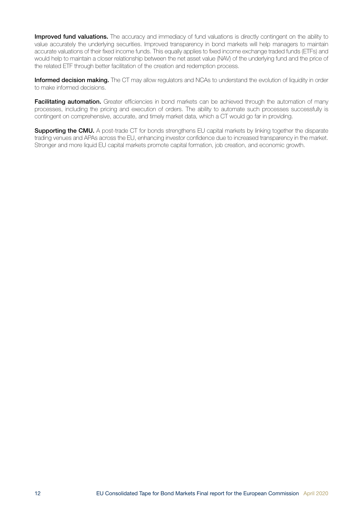Improved fund valuations. The accuracy and immediacy of fund valuations is directly contingent on the ability to value accurately the underlying securities. Improved transparency in bond markets will help managers to maintain accurate valuations of their fixed income funds. This equally applies to fixed income exchange traded funds (ETFs) and would help to maintain a closer relationship between the net asset value (NAV) of the underlying fund and the price of the related ETF through better facilitation of the creation and redemption process.

Informed decision making. The CT may allow regulators and NCAs to understand the evolution of liquidity in order to make informed decisions.

Facilitating automation. Greater efficiencies in bond markets can be achieved through the automation of many processes, including the pricing and execution of orders. The ability to automate such processes successfully is contingent on comprehensive, accurate, and timely market data, which a CT would go far in providing.

**Supporting the CMU.** A post-trade CT for bonds strengthens EU capital markets by linking together the disparate trading venues and APAs across the EU, enhancing investor confidence due to increased transparency in the market. Stronger and more liquid EU capital markets promote capital formation, job creation, and economic growth.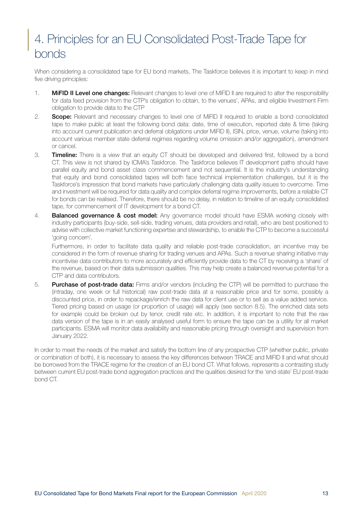# <span id="page-12-0"></span>4. Principles for an EU Consolidated Post-Trade Tape for bonds

When considering a consolidated tape for EU bond markets, The Taskforce believes it is important to keep in mind five driving principles:

- 1. **MiFID II Level one changes:** Relevant changes to level one of MiFID II are required to alter the responsibility for data feed provision from the CTP's obligation to obtain, to the venues', APAs, and eligible Investment Firm obligation to provide data to the CTP
- 2. Scope: Relevant and necessary changes to level one of MiFID II required to enable a bond consolidated tape to make public at least the following bond data: date, time of execution, reported date & time (taking into account current publication and deferral obligations under MiFID II), ISIN, price, venue, volume (taking into account various member state deferral regimes regarding volume omission and/or aggregation), amendment or cancel.
- 3. **Timeline:** There is a view that an equity CT should be developed and delivered first, followed by a bond CT. This view is not shared by ICMA's Taskforce. The Taskforce believes IT development paths should have parallel equity and bond asset class commencement and not sequential. It is the industry's understanding that equity and bond consolidated tapes will both face technical implementation challenges, but it is the Taskforce's impression that bond markets have particularly challenging data quality issues to overcome. Time and investment will be required for data quality and complex deferral regime improvements, before a reliable CT for bonds can be realised. Therefore, there should be no delay, in relation to timeline of an equity consolidated tape, for commencement of IT development for a bond CT.
- 4. **Balanced governance & cost model:** Any governance model should have ESMA working closely with industry participants (buy-side, sell-side, trading venues, data providers and retail), who are best positioned to advise with collective market functioning expertise and stewardship, to enable the CTP to become a successful 'going concern'.

Furthermore, in order to facilitate data quality and reliable post-trade consolidation, an incentive may be considered in the form of revenue sharing for trading venues and APAs. Such a revenue sharing initiative may incentivise data contributors to more accurately and efficiently provide data to the CT by receiving a 'share' of the revenue, based on their data submission qualities. This may help create a balanced revenue potential for a CTP and data contributors.

5. Purchase of post-trade data: Firms and/or vendors (including the CTP) will be permitted to purchase the (intraday, one week or full historical) raw post-trade data at a reasonable price and for some, possibly a discounted price, in order to repackage/enrich the raw data for client use or to sell as a value added service. Tiered pricing based on usage (or proportion of usage) will apply (see section 8.5). The enriched data sets for example could be broken out by tenor, credit rate etc. In addition, it is important to note that the raw data version of the tape is in an easily analysed useful form to ensure the tape can be a utility for all market participants. ESMA will monitor data availability and reasonable pricing through oversight and supervision from January 2022.

In order to meet the needs of the market and satisfy the bottom line of any prospective CTP (whether public, private or combination of both), it is necessary to assess the key differences between TRACE and MiFID II and what should be borrowed from the TRACE regime for the creation of an EU bond CT. What follows, represents a contrasting study between current EU post-trade bond aggregation practices and the qualities desired for the 'end-state' EU post-trade bond CT.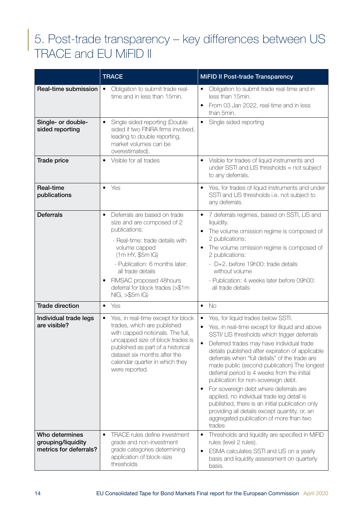# <span id="page-13-0"></span>5. Post-trade transparency – key differences between US TRACE and EU MiFID II

|                                                                | <b>TRACE</b>                                                                                                                                                                                                                                                                                                          | <b>MiFID II Post-trade Transparency</b>                                                                                                                                                                                                                                                                                                                                                                                                                                                                                                                                                                                                                                                                                |
|----------------------------------------------------------------|-----------------------------------------------------------------------------------------------------------------------------------------------------------------------------------------------------------------------------------------------------------------------------------------------------------------------|------------------------------------------------------------------------------------------------------------------------------------------------------------------------------------------------------------------------------------------------------------------------------------------------------------------------------------------------------------------------------------------------------------------------------------------------------------------------------------------------------------------------------------------------------------------------------------------------------------------------------------------------------------------------------------------------------------------------|
| Real-time submission                                           | Obligation to submit trade real-<br>$\bullet$<br>time and in less than 15min.                                                                                                                                                                                                                                         | Obligation to submit trade real-time and in<br>$\bullet$<br>less than 15min.<br>From 03 Jan 2022, real-time and in less<br>than 5min.                                                                                                                                                                                                                                                                                                                                                                                                                                                                                                                                                                                  |
| Single- or double-<br>sided reporting                          | Single sided reporting (Double<br>$\bullet$<br>sided if two FINRA firms involved,<br>leading to double reporting,<br>market volumes can be<br>overestimated).                                                                                                                                                         | Single sided reporting<br>$\bullet$                                                                                                                                                                                                                                                                                                                                                                                                                                                                                                                                                                                                                                                                                    |
| Trade price                                                    | Visible for all trades<br>$\bullet$                                                                                                                                                                                                                                                                                   | Visible for trades of liquid instruments and<br>$\bullet$<br>under SSTI and LIS thresholds $=$ not subject<br>to any deferrals.                                                                                                                                                                                                                                                                                                                                                                                                                                                                                                                                                                                        |
| <b>Real-time</b><br>publications                               | Yes<br>$\bullet$                                                                                                                                                                                                                                                                                                      | Yes, for trades of liquid instruments and under<br>$\bullet$<br>SSTI and LIS thresholds i.e. not subject to<br>any deferrals.                                                                                                                                                                                                                                                                                                                                                                                                                                                                                                                                                                                          |
| <b>Deferrals</b>                                               | Deferrals are based on trade<br>$\bullet$<br>size and are composed of 2<br>publications:<br>- Real-time: trade details with<br>volume capped<br>(1m HY, \$5m IG)<br>- Publication: 6 months later:<br>all trade details<br>FIMSAC proposed 48hours<br>$\bullet$<br>deferral for block trades (>\$1m<br>NIG, >\$5m IG) | 7 deferrals regimes, based on SSTI, LIS and<br>$\bullet$<br>liquidity.<br>The volume omission regime is composed of<br>2 publications:<br>The volume omission regime is composed of<br>2 publications:<br>- D+2, before 19h00: trade details<br>without volume<br>- Publication: 4 weeks later before 09h00:<br>all trade details                                                                                                                                                                                                                                                                                                                                                                                      |
| <b>Trade direction</b>                                         | Yes<br>$\bullet$                                                                                                                                                                                                                                                                                                      | <b>No</b><br>$\bullet$                                                                                                                                                                                                                                                                                                                                                                                                                                                                                                                                                                                                                                                                                                 |
| Individual trade legs<br>are visible?                          | Yes, in real-time except for block<br>trades, which are published<br>with capped notionals. The full,<br>uncapped size of block trades is<br>published as part of a historical<br>dataset six months after the<br>calendar quarter in which they<br>were reported.                                                    | Yes, for liquid trades below SSTI.<br>$\bullet$<br>Yes, in real-time except for illiquid and above<br>$\bullet$<br>SSTI/ LIS thresholds which trigger deferrals<br>Deferred trades may have individual trade<br>details published after expiration of applicable<br>deferrals when "full details" of the trade are<br>made public (second publication) The longest<br>deferral period is 4 weeks from the initial<br>publication for non-sovereign debt.<br>For sovereign debt where deferrals are<br>$\bullet$<br>applied, no individual trade leg detail is<br>published, there is an initial publication only<br>providing all details except quantity, or, an<br>aggregated publication of more than two<br>trades |
| Who determines<br>grouping/liquidity<br>metrics for deferrals? | TRACE rules define investment<br>grade and non-investment<br>grade categories determining<br>application of block-size<br>thresholds                                                                                                                                                                                  | Thresholds and liquidity are specified in MiFID<br>$\bullet$<br>rules (level 2 rules).<br>ESMA calculates SSTI and LIS on a yearly<br>$\bullet$<br>basis and liquidity assessment on quarterly<br>basis.                                                                                                                                                                                                                                                                                                                                                                                                                                                                                                               |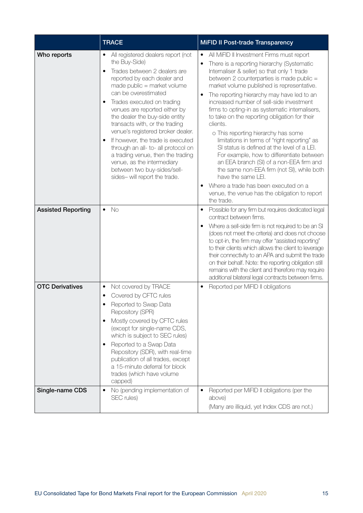|                           | <b>TRACE</b>                                                                                                                                                                                                                                                                                                                                                                                                                                                                                                                                                                                                | <b>MiFID II Post-trade Transparency</b>                                                                                                                                                                                                                                                                                                                                                                                                                                                                                                                                                                                                                                                                                                                                                                                                                                                           |
|---------------------------|-------------------------------------------------------------------------------------------------------------------------------------------------------------------------------------------------------------------------------------------------------------------------------------------------------------------------------------------------------------------------------------------------------------------------------------------------------------------------------------------------------------------------------------------------------------------------------------------------------------|---------------------------------------------------------------------------------------------------------------------------------------------------------------------------------------------------------------------------------------------------------------------------------------------------------------------------------------------------------------------------------------------------------------------------------------------------------------------------------------------------------------------------------------------------------------------------------------------------------------------------------------------------------------------------------------------------------------------------------------------------------------------------------------------------------------------------------------------------------------------------------------------------|
| Who reports               | All registered dealers report (not<br>$\bullet$<br>the Buy-Side)<br>Trades between 2 dealers are<br>$\bullet$<br>reported by each dealer and<br>made public = market volume<br>can be overestimated<br>Trades executed on trading<br>$\bullet$<br>venues are reported either by<br>the dealer the buy-side entity<br>transacts with, or the trading<br>venue's registered broker dealer.<br>If however, the trade is executed<br>٠<br>through an all- to- all protocol on<br>a trading venue, then the trading<br>venue, as the intermediary<br>between two buy-sides/sell-<br>sides-will report the trade. | All MiFID II Investment Firms must report<br>$\bullet$<br>There is a reporting hierarchy (Systematic<br>٠<br>Internaliser & seller) so that only 1 trade<br>between 2 counterparties is made public =<br>market volume published is representative.<br>The reporting hierarchy may have led to an<br>$\bullet$<br>increased number of sell-side investment<br>firms to opting-in as systematic internalisers,<br>to take on the reporting obligation for their<br>clients.<br>o This reporting hierarchy has some<br>limitations in terms of "right reporting" as<br>SI status is defined at the level of a LEI.<br>For example, how to differentiate between<br>an EEA branch (SI) of a non-EEA firm and<br>the same non-EEA firm (not SI), while both<br>have the same LEI.<br>Where a trade has been executed on a<br>$\bullet$<br>venue, the venue has the obligation to report<br>the trade. |
| <b>Assisted Reporting</b> | No<br>$\bullet$                                                                                                                                                                                                                                                                                                                                                                                                                                                                                                                                                                                             | Possible for any firm but requires dedicated legal<br>٠<br>contract between firms.<br>Where a sell-side firm is not required to be an SI<br>$\bullet$<br>(does not meet the criteria) and does not choose<br>to opt-in, the firm may offer "assisted reporting"<br>to their clients which allows the client to leverage<br>their connectivity to an APA and submit the trade<br>on their behalf. Note: the reporting obligation still<br>remains with the client and therefore may require<br>additional bilateral legal contracts between firms.                                                                                                                                                                                                                                                                                                                                                 |
| <b>OTC Derivatives</b>    | Not covered by TRACE<br>$\bullet$<br>Covered by CFTC rules<br>$\bullet$<br>Reported to Swap Data<br>٠<br>Repository (SPR)<br>Mostly covered by CFTC rules<br>$\bullet$<br>(except for single-name CDS,<br>which is subject to SEC rules)<br>Reported to a Swap Data<br>$\bullet$<br>Repository (SDR), with real-time<br>publication of all trades, except<br>a 15-minute deferral for block<br>trades (which have volume<br>capped)                                                                                                                                                                         | Reported per MiFID II obligations<br>$\bullet$                                                                                                                                                                                                                                                                                                                                                                                                                                                                                                                                                                                                                                                                                                                                                                                                                                                    |
| Single-name CDS           | No (pending implementation of<br>$\bullet$<br>SEC rules)                                                                                                                                                                                                                                                                                                                                                                                                                                                                                                                                                    | Reported per MiFID II obligations (per the<br>$\bullet$<br>above)<br>(Many are illiquid, yet Index CDS are not.)                                                                                                                                                                                                                                                                                                                                                                                                                                                                                                                                                                                                                                                                                                                                                                                  |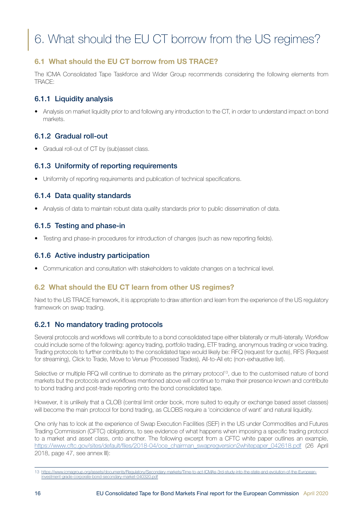# <span id="page-15-0"></span>6. What should the EU CT borrow from the US regimes?

## 6.1 What should the EU CT borrow from US TRACE?

The ICMA Consolidated Tape Taskforce and Wider Group recommends considering the following elements from TRACE:

## 6.1.1 Liquidity analysis

• Analysis on market liquidity prior to and following any introduction to the CT, in order to understand impact on bond markets.

## 6.1.2 Gradual roll-out

• Gradual roll-out of CT by (sub)asset class.

## 6.1.3 Uniformity of reporting requirements

• Uniformity of reporting requirements and publication of technical specifications.

## 6.1.4 Data quality standards

• Analysis of data to maintain robust data quality standards prior to public dissemination of data.

## 6.1.5 Testing and phase-in

• Testing and phase-in procedures for introduction of changes (such as new reporting fields).

## 6.1.6 Active industry participation

• Communication and consultation with stakeholders to validate changes on a technical level.

## 6.2 What should the EU CT learn from other US regimes?

Next to the US TRACE framework, it is appropriate to draw attention and learn from the experience of the US regulatory framework on swap trading.

## 6.2.1 No mandatory trading protocols

Several protocols and workflows will contribute to a bond consolidated tape either bilaterally or multi-laterally. Workflow could include some of the following: agency trading, portfolio trading, ETF trading, anonymous trading or voice trading. Trading protocols to further contribute to the consolidated tape would likely be: RFQ (request for quote), RFS (Request for streaming), Click to Trade, Move to Venue (Processed Trades), All-to-All etc (non-exhaustive list).

Selective or multiple RFQ will continue to dominate as the primary protocol<sup>13</sup>, due to the customised nature of bond markets but the protocols and workflows mentioned above will continue to make their presence known and contribute to bond trading and post-trade reporting onto the bond consolidated tape.

However, it is unlikely that a CLOB (central limit order book, more suited to equity or exchange based asset classes) will become the main protocol for bond trading, as CLOBS require a 'coincidence of want' and natural liquidity.

One only has to look at the experience of Swap Execution Facilities (SEF) in the US under Commodities and Futures Trading Commission (CFTC) obligations, to see evidence of what happens when imposing a specific trading protocol to a market and asset class, onto another. The following excerpt from a CFTC white paper outlines an example, [https://www.cftc.gov/sites/default/files/2018-04/oce\\_chairman\\_swapregversion2whitepaper\\_042618.pdf](https://www.cftc.gov/sites/default/files/2018-04/oce_chairman_swapregversion2whitepaper_042618.pdf) (26 April 2018, page 47, see annex III):

<sup>13</sup> [https://www.icmagroup.org/assets/documents/Regulatory/Secondary-markets/Time-to-act-ICMAs-3rd-study-into-the-state-and-evolution-of-the-European](https://www.icmagroup.org/assets/documents/Regulatory/Secondary-markets/Time-to-act-ICMAs-3rd-study-into-the-state-and-evolution-of-the-European-investment-grade-corporate-bond-secondary-market-040320.pdf)[investment-grade-corporate-bond-secondary-market-040320.pdf](https://www.icmagroup.org/assets/documents/Regulatory/Secondary-markets/Time-to-act-ICMAs-3rd-study-into-the-state-and-evolution-of-the-European-investment-grade-corporate-bond-secondary-market-040320.pdf)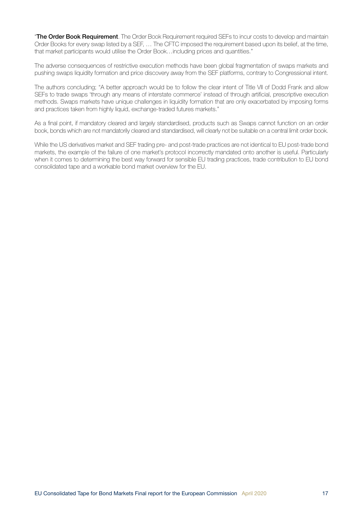"The Order Book Requirement. The Order Book Requirement required SEFs to incur costs to develop and maintain Order Books for every swap listed by a SEF, … The CFTC imposed the requirement based upon its belief, at the time, that market participants would utilise the Order Book…including prices and quantities."

The adverse consequences of restrictive execution methods have been global fragmentation of swaps markets and pushing swaps liquidity formation and price discovery away from the SEF platforms, contrary to Congressional intent.

The authors concluding; "A better approach would be to follow the clear intent of Title VII of Dodd Frank and allow SEFs to trade swaps 'through any means of interstate commerce' instead of through artificial, prescriptive execution methods. Swaps markets have unique challenges in liquidity formation that are only exacerbated by imposing forms and practices taken from highly liquid, exchange-traded futures markets."

As a final point, if mandatory cleared and largely standardised, products such as Swaps cannot function on an order book, bonds which are not mandatorily cleared and standardised, will clearly not be suitable on a central limit order book.

While the US derivatives market and SEF trading pre- and post-trade practices are not identical to EU post-trade bond markets, the example of the failure of one market's protocol incorrectly mandated onto another is useful. Particularly when it comes to determining the best way forward for sensible EU trading practices, trade contribution to EU bond consolidated tape and a workable bond market overview for the EU.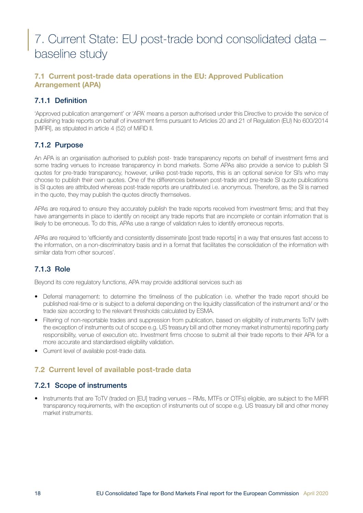## <span id="page-17-0"></span>7. Current State: EU post-trade bond consolidated data – baseline study

## 7.1 Current post-trade data operations in the EU: Approved Publication Arrangement (APA)

## 7.1.1 Definition

'Approved publication arrangement' or 'APA' means a person authorised under this Directive to provide the service of publishing trade reports on behalf of investment firms pursuant to Articles 20 and 21 of Regulation (EU) No 600/2014 [MiFIR], as stipulated in article 4 (52) of MiFID II.

## 7.1.2 Purpose

An APA is an organisation authorised to publish post- trade transparency reports on behalf of investment firms and some trading venues to increase transparency in bond markets. Some APAs also provide a service to publish SI quotes for pre-trade transparency, however, unlike post-trade reports, this is an optional service for SI's who may choose to publish their own quotes. One of the differences between post-trade and pre-trade SI quote publications is SI quotes are attributed whereas post-trade reports are unattributed i.e. anonymous. Therefore, as the SI is named in the quote, they may publish the quotes directly themselves.

APAs are required to ensure they accurately publish the trade reports received from investment firms; and that they have arrangements in place to identify on receipt any trade reports that are incomplete or contain information that is likely to be erroneous. To do this, APAs use a range of validation rules to identify erroneous reports.

APAs are required to 'efficiently and consistently disseminate [post trade reports] in a way that ensures fast access to the information, on a non-discriminatory basis and in a format that facilitates the consolidation of the information with similar data from other sources'.

## 7.1.3 Role

Beyond its core regulatory functions, APA may provide additional services such as

- Deferral management: to determine the timeliness of the publication i.e. whether the trade report should be published real-time or is subject to a deferral depending on the liquidity classification of the instrument and/ or the trade size according to the relevant thresholds calculated by ESMA.
- Filtering of non-reportable trades and suppression from publication, based on eligibility of instruments ToTV (with the exception of instruments out of scope e.g. US treasury bill and other money market instruments) reporting party responsibility, venue of execution etc. Investment firms choose to submit all their trade reports to their APA for a more accurate and standardised eligibility validation.
- Current level of available post-trade data.

## 7.2 Current level of available post-trade data

## 7.2.1 Scope of instruments

• Instruments that are ToTV (traded on [EU] trading venues – RMs, MTFs or OTFs) eligible, are subject to the MiFIR transparency requirements, with the exception of instruments out of scope e.g. US treasury bill and other money market instruments.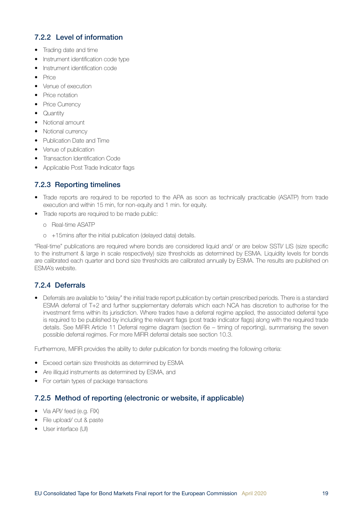## <span id="page-18-0"></span>7.2.2 Level of information

- Trading date and time
- Instrument identification code type
- Instrument identification code
- Price
- Venue of execution
- Price notation
- Price Currency
- Quantity
- Notional amount
- Notional currency
- Publication Date and Time
- Venue of publication
- Transaction Identification Code
- Applicable Post Trade Indicator flags

## 7.2.3 Reporting timelines

- Trade reports are required to be reported to the APA as soon as technically practicable (ASATP) from trade execution and within 15 min, for non-equity and 1 min. for equity.
- Trade reports are required to be made public:
	- o Real-time ASATP
	- o +15mins after the initial publication (delayed data) details.

"Real-time" publications are required where bonds are considered liquid and/ or are below SSTI/ LIS (size specific to the instrument & large in scale respectively) size thresholds as determined by ESMA. Liquidity levels for bonds are calibrated each quarter and bond size thresholds are calibrated annually by ESMA. The results are published on ESMA's website.

## 7.2.4 Deferrals

• Deferrals are available to "delay" the initial trade report publication by certain prescribed periods. There is a standard ESMA deferral of T+2 and further supplementary deferrals which each NCA has discretion to authorise for the investment firms within its jurisdiction. Where trades have a deferral regime applied, the associated deferral type is required to be published by including the relevant flags (post trade indicator flags) along with the required trade details. See MiFIR Article 11 Deferral regime diagram (section 6e – timing of reporting), summarising the seven possible deferral regimes. For more MiFIR deferral details see section 10.3.

Furthermore, MiFIR provides the ability to defer publication for bonds meeting the following criteria:

- Exceed certain size thresholds as determined by ESMA
- Are illiquid instruments as determined by ESMA, and
- For certain types of package transactions

### 7.2.5 Method of reporting (electronic or website, if applicable)

- Via API/ feed (e.g. FIX)
- File upload/ cut & paste
- User interface (UI)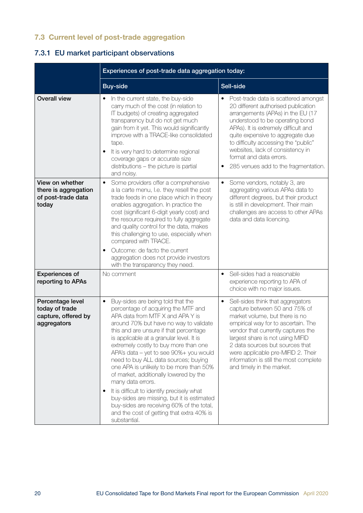## <span id="page-19-0"></span>7.3 Current level of post-trade aggregation

## 7.3.1 EU market participant observations

|                                                                          | Experiences of post-trade data aggregation today:                                                                                                                                                                                                                                                                                                                                                                                                                                                                                                                                                                                                                                                                 |                                                                                                                                                                                                                                                                                                                                                                                    |
|--------------------------------------------------------------------------|-------------------------------------------------------------------------------------------------------------------------------------------------------------------------------------------------------------------------------------------------------------------------------------------------------------------------------------------------------------------------------------------------------------------------------------------------------------------------------------------------------------------------------------------------------------------------------------------------------------------------------------------------------------------------------------------------------------------|------------------------------------------------------------------------------------------------------------------------------------------------------------------------------------------------------------------------------------------------------------------------------------------------------------------------------------------------------------------------------------|
|                                                                          | <b>Buy-side</b>                                                                                                                                                                                                                                                                                                                                                                                                                                                                                                                                                                                                                                                                                                   | Sell-side                                                                                                                                                                                                                                                                                                                                                                          |
| <b>Overall view</b>                                                      | In the current state, the buy-side<br>$\bullet$<br>carry much of the cost (in relation to<br>IT budgets) of creating aggregated<br>transparency but do not get much<br>gain from it yet. This would significantly<br>improve with a TRACE-like consolidated<br>tape.<br>It is very hard to determine regional<br>coverage gaps or accurate size<br>distributions - the picture is partial<br>and noisy.                                                                                                                                                                                                                                                                                                           | Post-trade data is scattered amongst<br>20 different authorised publication<br>arrangements (APAs) in the EU (17<br>understood to be operating bond<br>APAs). It is extremely difficult and<br>quite expensive to aggregate due<br>to difficulty accessing the "public"<br>websites, lack of consistency in<br>format and data errors.<br>285 venues add to the fragmentation.     |
| View on whether<br>there is aggregation<br>of post-trade data<br>today   | Some providers offer a comprehensive<br>$\bullet$<br>a la carte menu, I.e. they resell the post<br>trade feeds in one place which in theory<br>enables aggregation. In practice the<br>cost (significant 6-digit yearly cost) and<br>the resource required to fully aggregate<br>and quality control for the data, makes<br>this challenging to use, especially when<br>compared with TRACE.<br>Outcome: de facto the current<br>$\bullet$<br>aggregation does not provide investors<br>with the transparency they need.                                                                                                                                                                                          | Some vendors, notably 3, are<br>$\bullet$<br>aggregating various APAs data to<br>different degrees, but their product<br>is still in development. Their main<br>challenges are access to other APAs<br>data and data licencing.                                                                                                                                                    |
| <b>Experiences of</b><br>reporting to APAs                               | No comment                                                                                                                                                                                                                                                                                                                                                                                                                                                                                                                                                                                                                                                                                                        | Sell-sides had a reasonable<br>$\bullet$<br>experience reporting to APA of<br>choice with no major issues.                                                                                                                                                                                                                                                                         |
| Percentage level<br>today of trade<br>capture, offered by<br>aggregators | Buy-sides are being told that the<br>$\bullet$<br>percentage of acquiring the MTF and<br>APA data from MTF X and APA Y is<br>around 70% but have no way to validate<br>this and are unsure if that percentage<br>is applicable at a granular level. It is<br>extremely costly to buy more than one<br>APA's data - yet to see 90%+ you would<br>need to buy ALL data sources; buying<br>one APA is unlikely to be more than 50%<br>of market, additionally lowered by the<br>many data errors.<br>It is difficult to identify precisely what<br>$\bullet$<br>buy-sides are missing, but it is estimated<br>buy-sides are receiving 60% of the total,<br>and the cost of getting that extra 40% is<br>substantial. | Sell-sides think that aggregators<br>$\bullet$<br>capture between 50 and 75% of<br>market volume, but there is no<br>empirical way for to ascertain. The<br>vendor that currently captures the<br>largest share is not using MIFID<br>2 data sources but sources that<br>were applicable pre-MIFID 2. Their<br>information is still the most complete<br>and timely in the market. |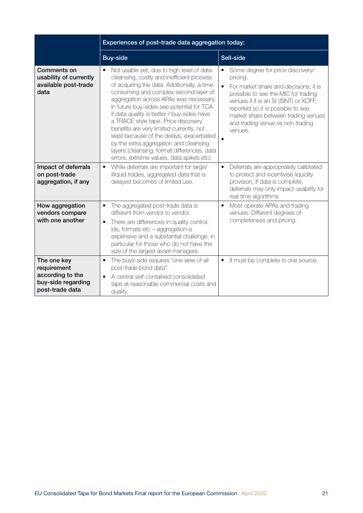|                                                                                         | Experiences of post-trade data aggregation today:                                                                                                                                                                                                                                                                                                                                                                                                                                                                                                                                        |                                                                                                                                                                                                                                                                                                  |
|-----------------------------------------------------------------------------------------|------------------------------------------------------------------------------------------------------------------------------------------------------------------------------------------------------------------------------------------------------------------------------------------------------------------------------------------------------------------------------------------------------------------------------------------------------------------------------------------------------------------------------------------------------------------------------------------|--------------------------------------------------------------------------------------------------------------------------------------------------------------------------------------------------------------------------------------------------------------------------------------------------|
|                                                                                         | <b>Buy-side</b>                                                                                                                                                                                                                                                                                                                                                                                                                                                                                                                                                                          | Sell-side                                                                                                                                                                                                                                                                                        |
| Comments on<br>usability of currently<br>available post-trade<br>data                   | Not usable yet, due to high level of data<br>cleansing, costly and inefficient process<br>of acquiring the data. Additionally, a time-<br>consuming and complex second layer of<br>aggregation across APAs was necessary.<br>In future buy-sides see potential for TCA<br>if data quality is better / buy-sides have<br>a TRACE style tape. Price discovery<br>benefits are very limited currently, not<br>least because of the delays, exacerbated<br>by the extra aggregation and cleansing<br>layers (cleansing: format differences, data<br>errors, extreme values, data spikes etc) | Some degree for price discovery/<br>pricing.<br>For market share and decisions, it is<br>possible to see the MIC for trading<br>venues if it is an SI (SINT) or XOFF,<br>reported so it is possible to see<br>market share between trading venues<br>and trading venue vs non-trading<br>venues. |
| Impact of deferrals<br>on post-trade<br>aggregation, if any                             | While deferrals are important for large/<br>$\bullet$<br>illiquid trades, aggregated data that is<br>delayed becomes of limited use.                                                                                                                                                                                                                                                                                                                                                                                                                                                     | Deferrals are appropriately calibrated<br>$\bullet$<br>to protect and incentivise liquidity<br>provision. If data is complete,<br>deferrals may only impact usability for<br>real time algorithms.                                                                                               |
| How aggregation<br>vendors compare<br>with one another                                  | The aggregated post-trade data is<br>different from vendor to vendor.<br>There are differences in quality control,<br>$\bullet$<br>ids, formats etc - aggregation is<br>expensive and a substantial challenge, in<br>particular for those who do not have the<br>size of the largest asset managers.                                                                                                                                                                                                                                                                                     | Most operate APAs and trading<br>venues. Different degrees of<br>completeness and pricing.                                                                                                                                                                                                       |
| The one key<br>requirement<br>according to the<br>buy-side regarding<br>post-trade data | The buys-side requires "one view of all<br>$\bullet$<br>post-trade bond data".<br>A central self-contained consolidated<br>tape at reasonable commercial costs and<br>quality.                                                                                                                                                                                                                                                                                                                                                                                                           | It must be complete in one source.                                                                                                                                                                                                                                                               |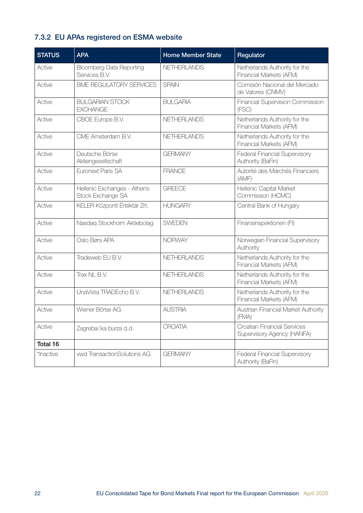## <span id="page-21-0"></span>7.3.2 EU APAs registered on ESMA website

| <b>STATUS</b> | <b>APA</b>                                       | <b>Home Member State</b> | Regulator                                                 |
|---------------|--------------------------------------------------|--------------------------|-----------------------------------------------------------|
| Active        | <b>Bloomberg Data Reporting</b><br>Services B.V. | <b>NETHERLANDS</b>       | Netherlands Authority for the<br>Financial Markets (AFM)  |
| Active        | <b>BME REGULATORY SERVICES</b>                   | <b>SPAIN</b>             | Comisión Nacional del Mercado<br>de Valores (CNMV)        |
| Active        | <b>BULGARIAN STOCK</b><br><b>EXCHANGE</b>        | <b>BULGARIA</b>          | Financial Supervision Commission<br>(FSC)                 |
| Active        | CBOE Europe B.V.                                 | <b>NETHERLANDS</b>       | Netherlands Authority for the<br>Financial Markets (AFM)  |
| Active        | CMF Amsterdam B.V.                               | <b>NETHERLANDS</b>       | Netherlands Authority for the<br>Financial Markets (AFM)  |
| Active        | Deutsche Börse<br>Aktiengesellschaft             | <b>GERMANY</b>           | Federal Financial Supervisory<br>Authority (BaFin)        |
| Active        | Euronext Paris SA                                | <b>FRANCE</b>            | Autorité des Marchés Financiers<br>(AMF)                  |
| Active        | Hellenic Exchanges - Athens<br>Stock Exchange SA | <b>GREECE</b>            | Hellenic Capital Market<br>Commission (HCMC)              |
| Active        | KELER Központi Értéktár Zrt.                     | <b>HUNGARY</b>           | Central Bank of Hungary                                   |
| Active        | Nasdaq Stockholm Aktiebolag                      | <b>SWEDEN</b>            | Finansinspektionen (FI)                                   |
| Active        | Oslo Børs APA                                    | <b>NORWAY</b>            | Norwegian Financial Supervisory<br>Authority              |
| Active        | Tradeweb EU B.V.                                 | <b>NETHERLANDS</b>       | Netherlands Authority for the<br>Financial Markets (AFM)  |
| Active        | Trax NL B.V.                                     | NETHERLANDS              | Netherlands Authority for the<br>Financial Markets (AFM)  |
| Active        | UnaVista TRADEcho B.V.                           | NETHERLANDS              | Netherlands Authority for the<br>Financial Markets (AFM)  |
| Active        | Wiener Börse AG                                  | <b>AUSTRIA</b>           | Austrian Financial Market Authority<br>(FMA)              |
| Active        | Zagrebačka burza d.d.                            | <b>CROATIA</b>           | Croatian Financial Services<br>Supervisory Agency (HANFA) |
| Total 16      |                                                  |                          |                                                           |
| *Inactive     | vwd TransactionSolutions AG                      | <b>GERMANY</b>           | Federal Financial Supervisory<br>Authority (BaFin)        |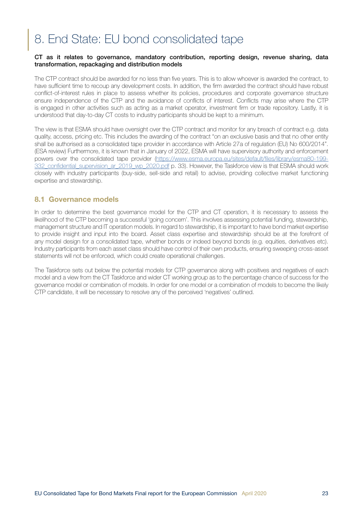# <span id="page-22-0"></span>8. End State: EU bond consolidated tape

#### CT as it relates to governance, mandatory contribution, reporting design, revenue sharing, data transformation, repackaging and distribution models

The CTP contract should be awarded for no less than five years. This is to allow whoever is awarded the contract, to have sufficient time to recoup any development costs. In addition, the firm awarded the contract should have robust conflict-of-interest rules in place to assess whether its policies, procedures and corporate governance structure ensure independence of the CTP and the avoidance of conflicts of interest. Conflicts may arise where the CTP is engaged in other activities such as acting as a market operator, investment firm or trade repository. Lastly, it is understood that day-to-day CT costs to industry participants should be kept to a minimum.

The view is that ESMA should have oversight over the CTP contract and monitor for any breach of contract e.g. data quality, access, pricing etc. This includes the awarding of the contract "on an exclusive basis and that no other entity shall be authorised as a consolidated tape provider in accordance with Article 27a of regulation (EU) No 600/2014". (ESA review) Furthermore, it is known that in January of 2022, ESMA will have supervisory authority and enforcement powers over the consolidated tape provider [\(https://www.esma.europa.eu/sites/default/files/library/esma80-199-](https://www.esma.europa.eu/sites/default/files/library/esma80-199-332_confidential_supervision_ar_2019_wp_2020.pdf) 332 confidential supervision ar 2019 wp 2020.pdf p. 33). However, the Taskforce view is that ESMA should work closely with industry participants (buy-side, sell-side and retail) to advise, providing collective market functioning expertise and stewardship.

#### 8.1 Governance models

In order to determine the best governance model for the CTP and CT operation, it is necessary to assess the likelihood of the CTP becoming a successful 'going concern'. This involves assessing potential funding, stewardship, management structure and IT operation models. In regard to stewardship, it is important to have bond market expertise to provide insight and input into the board. Asset class expertise and stewardship should be at the forefront of any model design for a consolidated tape, whether bonds or indeed beyond bonds (e.g. equities, derivatives etc). Industry participants from each asset class should have control of their own products, ensuring sweeping cross-asset statements will not be enforced, which could create operational challenges.

The Taskforce sets out below the potential models for CTP governance along with positives and negatives of each model and a view from the CT Taskforce and wider CT working group as to the percentage chance of success for the governance model or combination of models. In order for one model or a combination of models to become the likely CTP candidate, it will be necessary to resolve any of the perceived 'negatives' outlined.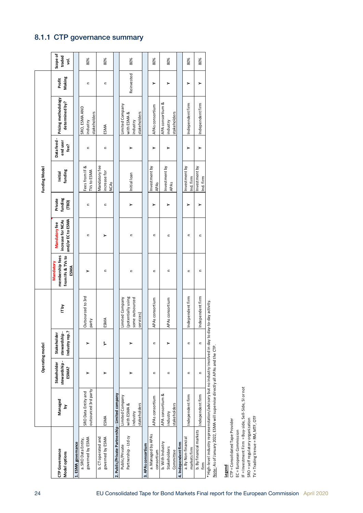## <span id="page-23-0"></span>8.1.1 CTP governance summary

|                                                                                                        |                                                            |                                      | Operating model                               |                                                                       |                                                                  |                                                                |                                      | <b>Funding Model</b>                                    |                                |                                                            |                  |                         |
|--------------------------------------------------------------------------------------------------------|------------------------------------------------------------|--------------------------------------|-----------------------------------------------|-----------------------------------------------------------------------|------------------------------------------------------------------|----------------------------------------------------------------|--------------------------------------|---------------------------------------------------------|--------------------------------|------------------------------------------------------------|------------------|-------------------------|
| CTP Governance<br>Model options                                                                        | Managed<br>ă                                               | stewardship-<br>Stakeholder<br>ESMA? | Industry rep.?<br>stewardship-<br>Stakeholder | ITby                                                                  | membership fees<br>from IFs & TVs to<br>Mandatory<br><b>ESMA</b> | and/or EC to ESMA<br>increase for NCAs<br><b>Mandatory fee</b> | funding<br>Private<br>$\overline{1}$ | funding<br>Initial                                      | Data feed-<br>end user<br>fee? | Pricing methodology<br>determined by?                      | Making<br>Profit | Scope of<br>traded<br>ġ |
| 1. ESMA governance                                                                                     |                                                            |                                      |                                               |                                                                       |                                                                  |                                                                |                                      |                                                         |                                |                                                            |                  |                         |
| governed by ESMA<br>a. SRO Data Entity,                                                                | outsourced 3rd party<br>SRO Data Entity and                |                                      |                                               | Outsourced to 3rd<br>party                                            |                                                                  | $\mathbf{C}$                                                   | $\equiv$                             | Fees from IF &<br>TVs to ESMA                           | $\mathbf{C}$                   | SRO, ESMA AND<br>stakeholders<br>industry                  | $\mathbf{C}$     | 80%                     |
| b. CT operated and<br>governed by ESMA                                                                 | ESMA                                                       |                                      | ₹                                             | ESMA                                                                  | Ξ                                                                |                                                                | $\mathbf{C}$                         | Mandatory fee<br>increase for<br><b>NCA<sub>S</sub></b> | Ξ                              | ESMA                                                       | $\mathbf{C}$     | 80%                     |
| 2. Public/Private Partnership - Limited company                                                        |                                                            |                                      |                                               |                                                                       |                                                                  |                                                                |                                      |                                                         |                                |                                                            |                  |                         |
| Partnership - Ltd cy<br>Public/Private                                                                 | Limited Company<br>stakeholders<br>with ESMA &<br>industry |                                      |                                               | (potentially using<br>Limited Company<br>some outsourced<br>services) | $\mathbf{C}$                                                     | $\mathbf{C}$                                                   |                                      | Initial loan                                            |                                | Limited Company<br>stakeholders<br>with ESMA &<br>industry | Reinvested       | 80%                     |
| 3. APAs consortium                                                                                     |                                                            |                                      |                                               |                                                                       |                                                                  |                                                                |                                      |                                                         |                                |                                                            |                  |                         |
| a. Managed by APAs<br>consortium                                                                       | APAs consortium                                            | $\subset$                            | $\subset$                                     | APAs consortium                                                       | $\subset$                                                        | $\subset$                                                      | >                                    | Investment by<br><b>APAS</b>                            | >                              | APAs consortium                                            | >                | 80%                     |
| b. With Industry<br>Stakeholders<br>Committee                                                          | APA consortium &<br>stakeholders<br>industry               | $\mathbf{C}$                         |                                               | APAs consortium                                                       | Ξ                                                                | Ξ                                                              |                                      | Investment by<br><b>APAS</b>                            |                                | APA consortium &<br>stakeholders<br>industry               | >                | 80%                     |
| 4. Independent firm                                                                                    |                                                            |                                      |                                               |                                                                       |                                                                  |                                                                |                                      |                                                         |                                |                                                            |                  |                         |
| a. By Non-financial<br>markets firm                                                                    | ndependent firm                                            | $\subset$                            | $\subset$                                     | Independent firm                                                      | $\mathbf{C}$                                                     | $\mathbf{C}$                                                   |                                      | Investment by<br>Ind. firm                              | >                              | Independent firm                                           | >                | 80%                     |
| b. By financial markets<br>firm                                                                        | ndependent firm                                            | $\epsilon$                           | $\mathbf{C}$                                  | Independent firm                                                      | $\mathbf{C}$                                                     | $\mathbf{C}$                                                   | >                                    | Investment by<br>Ind. firm                              | ≻                              | Independent firm                                           | >                | 80%                     |
| * High-level industry represenstation/advisory but no industry involved in day to day-to-day activity. |                                                            |                                      |                                               |                                                                       |                                                                  |                                                                |                                      |                                                         |                                |                                                            |                  |                         |

Note: As of January 2022, ESMA will supervise directly all APAs and the CTP. Note: As of January 2022, ESMA will supervise directly all APAs and the CTP.

**Legend**<br>CTP = Consolidated Tape Provider CTP = Consolidated Tape Provider

EC = European Commission EC = European Commission

IF = Investment Firm = Buy-side, Sell-Side, SI or not IF = Investment Firm = Buy-side, Sell-Side, SI or not

SRO = self regulatory organization<br>TV = Trading Venue = RM, MTF, OTF TV = Trading Venue = RM, MTF, OTF SRO = self regulatory organization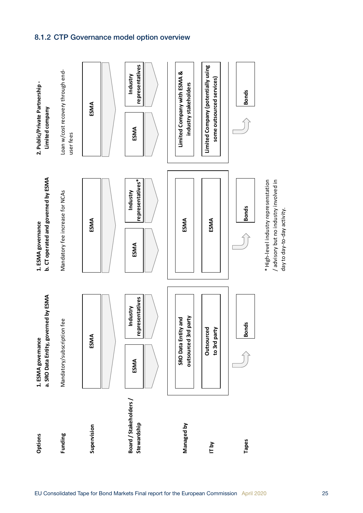## 8.1.2 CTP Governance model option overview

<span id="page-24-0"></span>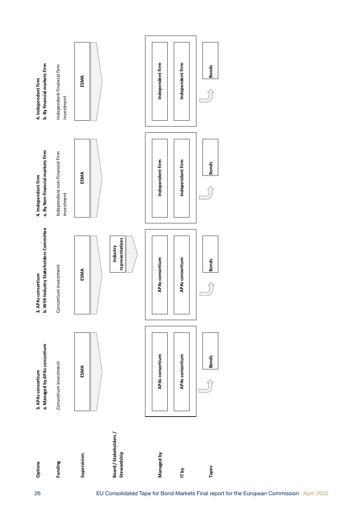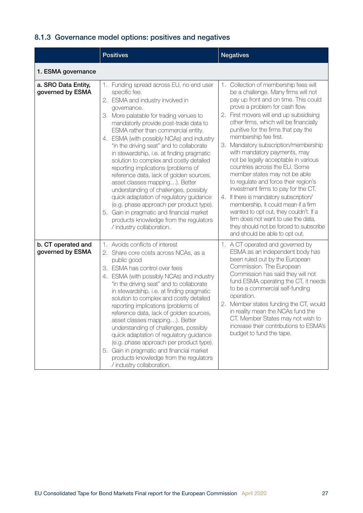## <span id="page-26-0"></span>8.1.3 Governance model options: positives and negatives

|                                         | <b>Positives</b>                                                                                                                                                                                                                                                                                                                                                                                                                                                                                                                                                                                                                                                                                                                                                                                    | <b>Negatives</b>                                                                                                                                                                                                                                                                                                                                                                                                                                                                                                                                                                                                                                                                                                                                                                                                                       |
|-----------------------------------------|-----------------------------------------------------------------------------------------------------------------------------------------------------------------------------------------------------------------------------------------------------------------------------------------------------------------------------------------------------------------------------------------------------------------------------------------------------------------------------------------------------------------------------------------------------------------------------------------------------------------------------------------------------------------------------------------------------------------------------------------------------------------------------------------------------|----------------------------------------------------------------------------------------------------------------------------------------------------------------------------------------------------------------------------------------------------------------------------------------------------------------------------------------------------------------------------------------------------------------------------------------------------------------------------------------------------------------------------------------------------------------------------------------------------------------------------------------------------------------------------------------------------------------------------------------------------------------------------------------------------------------------------------------|
| 1. ESMA governance                      |                                                                                                                                                                                                                                                                                                                                                                                                                                                                                                                                                                                                                                                                                                                                                                                                     |                                                                                                                                                                                                                                                                                                                                                                                                                                                                                                                                                                                                                                                                                                                                                                                                                                        |
| a. SRO Data Entity,<br>governed by ESMA | 1. Funding spread across EU, no end user<br>specific fee.<br>2. ESMA and industry involved in<br>governance.<br>3. More palatable for trading venues to<br>mandatorily provide post-trade data to<br>ESMA rather than commercial entity.<br>4. ESMA (with possibly NCAs) and industry<br>"in the driving seat" and to collaborate<br>in stewardship, i.e. at finding pragmatic<br>solution to complex and costly detailed<br>reporting implications (problems of<br>reference data, lack of golden sources,<br>asset classes mapping). Better<br>understanding of challenges, possibly<br>quick adaptation of regulatory guidance<br>(e.g. phase approach per product type).<br>Gain in pragmatic and financial market<br>5.<br>products knowledge from the regulators<br>/ industry collaboration. | Collection of membership fees will<br>1.<br>be a challenge. Many firms will not<br>pay up front and on time. This could<br>prove a problem for cash flow.<br>First movers will end up subsidising<br>2.<br>other firms, which will be financially<br>punitive for the firms that pay the<br>membership fee first.<br>Mandatory subscription/membership<br>З.<br>with mandatory payments, may<br>not be legally acceptable in various<br>countries across the EU. Some<br>member states may not be able<br>to regulate and force their region's<br>investment firms to pay for the CT.<br>If there is mandatory subscription/<br>4.<br>membership, it could mean if a firm<br>wanted to opt out, they couldn't. If a<br>firm does not want to use the data,<br>they should not be forced to subscribe<br>and should be able to opt out. |
| b. CT operated and<br>governed by ESMA  | 1. Avoids conflicts of interest<br>2. Share core costs across NCAs, as a<br>public good<br>3. ESMA has control over fees<br>4. ESMA (with possibly NCAs) and industry<br>"in the driving seat" and to collaborate<br>in stewardship, i.e. at finding pragmatic<br>solution to complex and costly detailed<br>reporting implications (problems of<br>reference data, lack of golden sources,<br>asset classes mapping). Better<br>understanding of challenges, possibly<br>quick adaptation of regulatory guidance<br>(e.g. phase approach per product type).<br>5. Gain in pragmatic and financial market<br>products knowledge from the regulators<br>/ industry collaboration.                                                                                                                    | 1. A CT operated and governed by<br>ESMA as an independent body has<br>been ruled out by the European<br>Commission. The European<br>Commission has said they will not<br>fund ESMA operating the CT, it needs<br>to be a commercial self-funding<br>operation.<br>2. Member states funding the CT, would<br>in reality mean the NCAs fund the<br>CT. Member States may not wish to<br>increase their contributions to ESMA's<br>budget to fund the tape.                                                                                                                                                                                                                                                                                                                                                                              |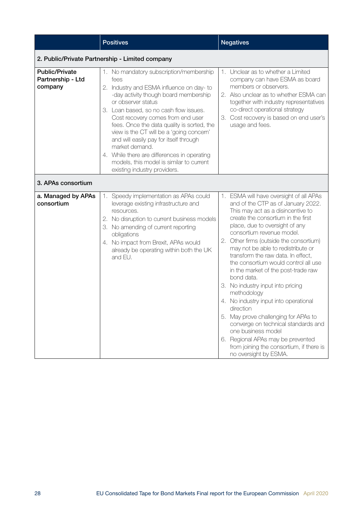|                                                       | <b>Positives</b>                                                                                                                                                                                                                                                                                                                                                                                                                                                                                                           | <b>Negatives</b>                                                                                                                                                                                                                                                                                                                                                                                                                                                                                                                                                                                                                                                                                                                                                     |
|-------------------------------------------------------|----------------------------------------------------------------------------------------------------------------------------------------------------------------------------------------------------------------------------------------------------------------------------------------------------------------------------------------------------------------------------------------------------------------------------------------------------------------------------------------------------------------------------|----------------------------------------------------------------------------------------------------------------------------------------------------------------------------------------------------------------------------------------------------------------------------------------------------------------------------------------------------------------------------------------------------------------------------------------------------------------------------------------------------------------------------------------------------------------------------------------------------------------------------------------------------------------------------------------------------------------------------------------------------------------------|
|                                                       | 2. Public/Private Partnership - Limited company                                                                                                                                                                                                                                                                                                                                                                                                                                                                            |                                                                                                                                                                                                                                                                                                                                                                                                                                                                                                                                                                                                                                                                                                                                                                      |
| <b>Public/Private</b><br>Partnership - Ltd<br>company | 1. No mandatory subscription/membership<br>fees<br>2. Industry and ESMA influence on day-to<br>-day activity though board membership<br>or observer status<br>3. Loan based, so no cash flow issues.<br>Cost recovery comes from end user<br>fees. Once the data quality is sorted, the<br>view is the CT will be a 'going concern'<br>and will easily pay for itself through<br>market demand.<br>4. While there are differences in operating<br>models, this model is similar to current<br>existing industry providers. | 1. Unclear as to whether a Limited<br>company can have ESMA as board<br>members or observers.<br>2. Also unclear as to whether ESMA can<br>together with industry representatives<br>co-direct operational strategy<br>3. Cost recovery is based on end user's<br>usage and fees.                                                                                                                                                                                                                                                                                                                                                                                                                                                                                    |
| 3. APAs consortium                                    |                                                                                                                                                                                                                                                                                                                                                                                                                                                                                                                            |                                                                                                                                                                                                                                                                                                                                                                                                                                                                                                                                                                                                                                                                                                                                                                      |
| a. Managed by APAs<br>consortium                      | 1. Speedy implementation as APAs could<br>leverage existing infrastructure and<br>resources.<br>2. No disruption to current business models<br>3. No amending of current reporting<br>obligations<br>4. No impact from Brexit, APAs would<br>already be operating within both the UK<br>and EU.                                                                                                                                                                                                                            | 1. ESMA will have oversight of all APAs<br>and of the CTP as of January 2022.<br>This may act as a disincentive to<br>create the consortium in the first<br>place, due to oversight of any<br>consortium revenue model.<br>2. Other firms (outside the consortium)<br>may not be able to redistribute or<br>transform the raw data. In effect,<br>the consortium would control all use<br>in the market of the post-trade raw<br>bond data.<br>3. No industry input into pricing<br>methodology<br>4. No industry input into operational<br>direction<br>5. May prove challenging for APAs to<br>converge on technical standards and<br>one business model<br>6. Regional APAs may be prevented<br>from joining the consortium, if there is<br>no oversight by ESMA. |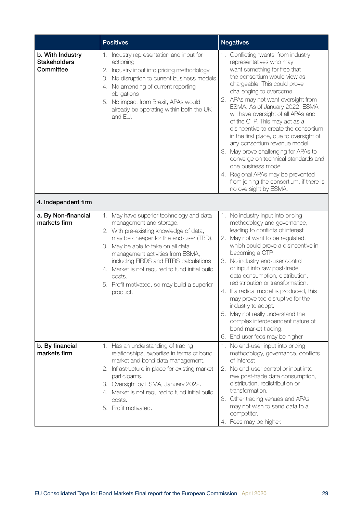|                                                      | <b>Positives</b>                                                                                                                                                                                                                                                                                                                                                                                       | <b>Negatives</b>                                                                                                                                                                                                                                                                                                                                                                                                                                                                                                                                                                                                                                                                 |
|------------------------------------------------------|--------------------------------------------------------------------------------------------------------------------------------------------------------------------------------------------------------------------------------------------------------------------------------------------------------------------------------------------------------------------------------------------------------|----------------------------------------------------------------------------------------------------------------------------------------------------------------------------------------------------------------------------------------------------------------------------------------------------------------------------------------------------------------------------------------------------------------------------------------------------------------------------------------------------------------------------------------------------------------------------------------------------------------------------------------------------------------------------------|
| b. With Industry<br><b>Stakeholders</b><br>Committee | 1. Industry representation and input for<br>actioning<br>Industry input into pricing methodology<br>2.<br>No disruption to current business models<br>З.<br>4. No amending of current reporting<br>obligations<br>5. No impact from Brexit, APAs would<br>already be operating within both the UK<br>and EU.                                                                                           | 1. Conflicting 'wants' from industry<br>representatives who may<br>want something for free that<br>the consortium would view as<br>chargeable. This could prove<br>challenging to overcome.<br>2. APAs may not want oversight from<br>ESMA. As of January 2022, ESMA<br>will have oversight of all APAs and<br>of the CTP. This may act as a<br>disincentive to create the consortium<br>in the first place, due to oversight of<br>any consortium revenue model.<br>3. May prove challenging for APAs to<br>converge on technical standards and<br>one business model<br>4. Regional APAs may be prevented<br>from joining the consortium, if there is<br>no oversight by ESMA. |
| 4. Independent firm                                  |                                                                                                                                                                                                                                                                                                                                                                                                        |                                                                                                                                                                                                                                                                                                                                                                                                                                                                                                                                                                                                                                                                                  |
| a. By Non-financial<br>markets firm                  | 1. May have superior technology and data<br>management and storage.<br>2. With pre-existing knowledge of data,<br>may be cheaper for the end-user (TBD).<br>3. May be able to take on all data<br>management activities from ESMA,<br>including FIRDS and FITRS calculations.<br>4. Market is not required to fund initial build<br>costs.<br>5. Profit motivated, so may build a superior<br>product. | 1. No industry input into pricing<br>methodology and governance,<br>leading to conflicts of interest<br>2. May not want to be regulated,<br>which could prove a disincentive in<br>becoming a CTP.<br>No industry end-user control<br>З.<br>or input into raw post-trade<br>data consumption, distribution,<br>redistribution or transformation.<br>4. If a radical model is produced, this<br>may prove too disruptive for the<br>industry to adopt.<br>5. May not really understand the<br>complex interdependent nature of<br>bond market trading.<br>End user fees may be higher<br>6.                                                                                       |
| b. By financial<br>markets firm                      | 1. Has an understanding of trading<br>relationships, expertise in terms of bond<br>market and bond data management.<br>2. Infrastructure in place for existing market<br>participants.<br>3. Oversight by ESMA, January 2022.<br>4. Market is not required to fund initial build<br>costs.<br>5. Profit motivated.                                                                                     | 1. No end-user input into pricing<br>methodology, governance, conflicts<br>of interest<br>2. No end-user control or input into<br>raw post-trade data consumption,<br>distribution, redistribution or<br>transformation.<br>Other trading venues and APAs<br>З.<br>may not wish to send data to a<br>competitor.<br>4. Fees may be higher.                                                                                                                                                                                                                                                                                                                                       |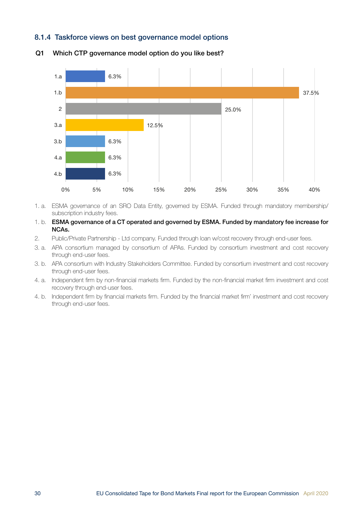#### <span id="page-29-0"></span>8.1.4 Taskforce views on best governance model options



#### Q1 Which CTP governance model option do you like best?

- 1. a. ESMA governance of an SRO Data Entity, governed by ESMA. Funded through mandatory membership/ subscription industry fees.
- 1. b. ESMA governance of a CT operated and governed by ESMA. Funded by mandatory fee increase for NCAs.
- 2. Public/Private Partnership Ltd company. Funded through loan w/cost recovery through end-user fees.
- 3. a. APA consortium managed by consortium of APAs. Funded by consortium investment and cost recovery through end-user fees.
- 3. b. APA consortium with Industry Stakeholders Committee. Funded by consortium investment and cost recovery through end-user fees.
- 4. a. Independent firm by non-financial markets firm. Funded by the non-financial market firm investment and cost recovery through end-user fees.
- 4. b. Independent firm by financial markets firm. Funded by the financial market firm' investment and cost recovery through end-user fees.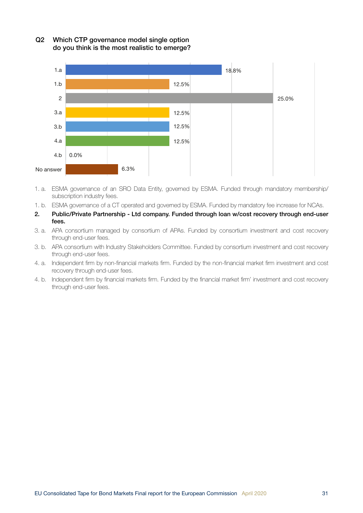

Q2 Which CTP governance model single option do you think is the most realistic to emerge?

- 1. a. ESMA governance of an SRO Data Entity, governed by ESMA. Funded through mandatory membership/ subscription industry fees.
- 1. b. ESMA governance of a CT operated and governed by ESMA. Funded by mandatory fee increase for NCAs.
- 2. Public/Private Partnership Ltd company. Funded through loan w/cost recovery through end-user fees.
- 3. a. APA consortium managed by consortium of APAs. Funded by consortium investment and cost recovery through end-user fees.
- 3. b. APA consortium with Industry Stakeholders Committee. Funded by consortium investment and cost recovery through end-user fees.
- 4. a. Independent firm by non-financial markets firm. Funded by the non-financial market firm investment and cost recovery through end-user fees.
- 4. b. Independent firm by financial markets firm. Funded by the financial market firm' investment and cost recovery through end-user fees.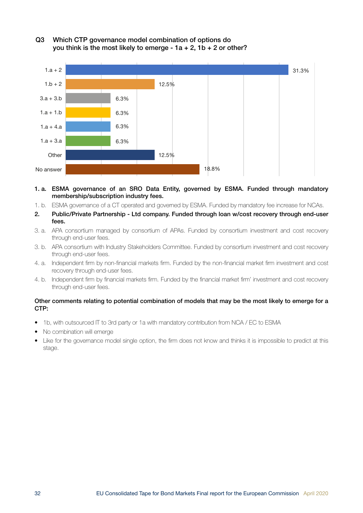

#### Q3 Which CTP governance model combination of options do you think is the most likely to emerge -  $1a + 2$ ,  $1b + 2$  or other?

- 1. a. ESMA governance of an SRO Data Entity, governed by ESMA. Funded through mandatory membership/subscription industry fees.
- 1. b. ESMA governance of a CT operated and governed by ESMA. Funded by mandatory fee increase for NCAs.
- 2. Public/Private Partnership Ltd company. Funded through loan w/cost recovery through end-user fees.
- 3. a. APA consortium managed by consortium of APAs. Funded by consortium investment and cost recovery through end-user fees.
- 3. b. APA consortium with Industry Stakeholders Committee. Funded by consortium investment and cost recovery through end-user fees.
- 4. a. Independent firm by non-financial markets firm. Funded by the non-financial market firm investment and cost recovery through end-user fees.
- 4. b. Independent firm by financial markets firm. Funded by the financial market firm' investment and cost recovery through end-user fees.

#### Other comments relating to potential combination of models that may be the most likely to emerge for a CTP:

- 1b, with outsourced IT to 3rd party or 1a with mandatory contribution from NCA / EC to ESMA
- No combination will emerge
- Like for the governance model single option, the firm does not know and thinks it is impossible to predict at this stage.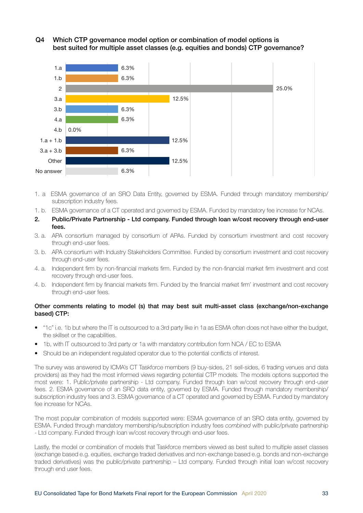Q4 Which CTP governance model option or combination of model options is best suited for multiple asset classes (e.g. equities and bonds) CTP governance?



- 1. a ESMA governance of an SRO Data Entity, governed by ESMA. Funded through mandatory membership/ subscription industry fees.
- 1. b. ESMA governance of a CT operated and governed by ESMA. Funded by mandatory fee increase for NCAs.
- 2. Public/Private Partnership Ltd company. Funded through loan w/cost recovery through end-user fees.
- 3. a. APA consortium managed by consortium of APAs. Funded by consortium investment and cost recovery through end-user fees.
- 3. b. APA consortium with Industry Stakeholders Committee. Funded by consortium investment and cost recovery through end-user fees.
- 4. a. Independent firm by non-financial markets firm. Funded by the non-financial market firm investment and cost recovery through end-user fees.
- 4. b. Independent firm by financial markets firm. Funded by the financial market firm' investment and cost recovery through end-user fees.

#### Other comments relating to model (s) that may best suit multi-asset class (exchange/non-exchange based) CTP:

- "1c" i.e. 1b but where the IT is outsourced to a 3rd party like in 1a as ESMA often does not have either the budget, the skillset or the capabilities.
- 1b, with IT outsourced to 3rd party or 1a with mandatory contribution form NCA / EC to ESMA
- Should be an independent regulated operator due to the potential conflicts of interest.

The survey was answered by ICMA's CT Taskforce members (9 buy-sides, 21 sell-sides, 6 trading venues and data providers) as they had the most informed views regarding potential CTP models. The models options supported the most were: 1. Public/private partnership - Ltd company. Funded through loan w/cost recovery through end-user fees. 2. ESMA governance of an SRO data entity, governed by ESMA. Funded through mandatory membership/ subscription industry fees and 3. ESMA governance of a CT operated and governed by ESMA. Funded by mandatory fee increase for NCAs.

The most popular combination of models supported were: ESMA governance of an SRO data entity, governed by ESMA. Funded through mandatory membership/subscription industry fees *combined* with public/private partnership - Ltd company. Funded through loan w/cost recovery through end-user fees.

Lastly, the model or combination of models that Taskforce members viewed as best suited to multiple asset classes (exchange based e.g. equities, exchange traded derivatives and non-exchange based e.g. bonds and non-exchange traded derivatives) was the public/private partnership – Ltd company. Funded through initial loan w/cost recovery through end user fees.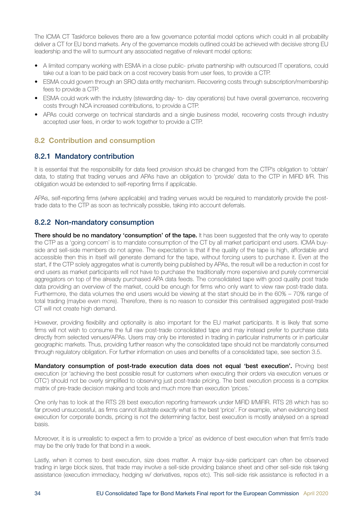<span id="page-33-0"></span>The ICMA CT Taskforce believes there are a few governance potential model options which could in all probability deliver a CT for EU bond markets. Any of the governance models outlined could be achieved with decisive strong EU leadership and the will to surmount any associated negative of relevant model options:

- A limited company working with ESMA in a close public- private partnership with outsourced IT operations, could take out a loan to be paid back on a cost recovery basis from user fees, to provide a CTP.
- ESMA could govern through an SRO data entity mechanism. Recovering costs through subscription/membership fees to provide a CTP.
- ESMA could work with the industry (stewarding day- to- day operations) but have overall governance, recovering costs through NCA increased contributions, to provide a CTP.
- APAs could converge on technical standards and a single business model, recovering costs through industry accepted user fees, in order to work together to provide a CTP.

## 8.2 Contribution and consumption

## 8.2.1 Mandatory contribution

It is essential that the responsibility for data feed provision should be changed from the CTP's obligation to 'obtain' data, to stating that trading venues and APAs have an obligation to 'provide' data to the CTP in MiFID II/R. This obligation would be extended to self-reporting firms if applicable.

APAs, self-reporting firms (where applicable) and trading venues would be required to mandatorily provide the posttrade data to the CTP as soon as technically possible, taking into account deferrals.

### 8.2.2 Non-mandatory consumption

There should be no mandatory 'consumption' of the tape. It has been suggested that the only way to operate the CTP as a 'going concern' is to mandate consumption of the CT by all market participant end users. ICMA buyside and sell-side members do not agree. The expectation is that if the quality of the tape is high, affordable and accessible then this in itself will generate demand for the tape, without forcing users to purchase it. Even at the start, if the CTP solely aggregates what is currently being published by APAs, the result will be a reduction in cost for end users as market participants will not have to purchase the traditionally more expensive and purely commercial aggregators on top of the already purchased APA data feeds. The consolidated tape with good quality post trade data providing an overview of the market, could be enough for firms who only want to view raw post-trade data. Furthermore, the data volumes the end users would be viewing at the start should be in the 60% – 70% range of total trading (maybe even more). Therefore, there is no reason to consider this centralised aggregated post-trade CT will not create high demand.

However, providing flexibility and optionality is also important for the EU market participants. It is likely that some firms will not wish to consume the full raw post-trade consolidated tape and may instead prefer to purchase data directly from selected venues/APAs. Users may only be interested in trading in particular instruments or in particular geographic markets. Thus, providing further reason why the consolidated tape should not be mandatorily consumed through regulatory obligation. For further information on uses and benefits of a consolidated tape, see section 3.5.

Mandatory consumption of post-trade execution data does not equal 'best execution'. Proving best execution (or 'achieving the best possible result for customers when executing their orders via execution venues or OTC') should not be overly simplified to observing just post-trade pricing. The best execution process is a complex matrix of pre-trade decision making and tools and much more than execution 'prices.'

One only has to look at the RTS 28 best execution reporting framework under MiFID II/MiFIR. RTS 28 which has so far proved unsuccessful, as firms cannot illustrate *exactly* what is the best 'price'. For example, when evidencing best execution for corporate bonds, pricing is not the determining factor, best execution is mostly analysed on a spread basis.

Moreover, it is is unrealistic to expect a firm to provide a 'price' as evidence of best execution when that firm's trade may be the only trade for that bond in a week.

Lastly, when it comes to best execution, size does matter. A major buy-side participant can often be observed trading in large block sizes, that trade may involve a sell-side providing balance sheet and other sell-side risk taking assistance (execution immediacy, hedging w/ derivatives, repos etc). This sell-side risk assistance is reflected in a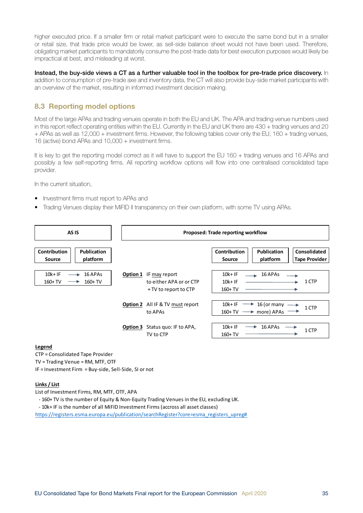<span id="page-34-0"></span>higher executed price. If a smaller firm or retail market participant were to execute the same bond but in a smaller or retail size, that trade price would be lower, as sell-side balance sheet would not have been used. Therefore, obligating market participants to mandatorily consume the post-trade data for best execution purposes would likely be impractical at best, and misleading at worst.

Instead, the buy-side views a CT as a further valuable tool in the toolbox for pre-trade price discovery. In addition to consumption of pre-trade axe and inventory data, the CT will also provide buy-side market participants with an overview of the market, resulting in informed investment decision making.

## 8.3 Reporting model options

Most of the large APAs and trading venues operate in both the EU and UK. The APA and trading venue numbers used in this report reflect operating entities within the EU. Currently in the EU and UK there are 430 + trading venues and 20 + APAs as well as 12,000 + investment firms. However, the following tables cover only the EU, 160 + trading venues, 16 (active) bond APAs and 10,000 + investment firms.

It is key to get the reporting model correct as it will have to support the EU 160 + trading venues and 16 APAs and possibly a few self-reporting firms. All reporting workflow options will flow into one centralised consolidated tape provider.

In the current situation,

- Investment firms must report to APAs and
- Trading Venues display their MiFID II transparency on their own platform, with some TV using APAs.



#### **Legend**

CTP = Consolidated Tape Provider

TV = Trading Venue = RM, MTF, OTF

IF = Investment Firm = Buy-side, Sell-Side, SI or not

#### **Links / List**

List of Investment Firms, RM, MTF, OTF, APA

- 160+ TV is the number of Equity & Non-Equity Trading Venues in the EU, excluding UK.

- 10k+ IF is the number of all MiFID Investment Firms (accross all asset classes)

https://registers.esma.europa.eu/publication/searchRegister?core=esma\_registers\_upreg#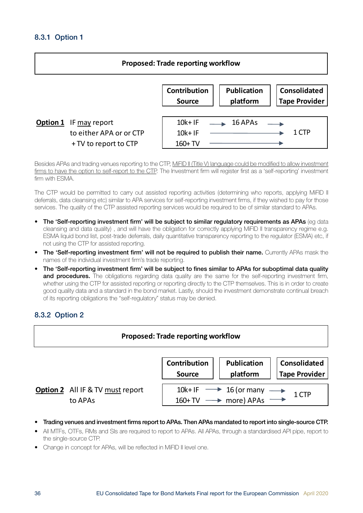## <span id="page-35-0"></span>8.3.1 Option 1



Besides APAs and trading venues reporting to the CTP, MiFID II (Title V) language could be modified to allow investment firms to have the option to self-report to the CTP. The Investment firm will register first as a 'self-reporting' investment firm with ESMA.

The CTP would be permitted to carry out assisted reporting activities (determining who reports, applying MiFID II deferrals, data cleansing etc) similar to APA services for self-reporting investment firms, if they wished to pay for those services. The quality of the CTP assisted reporting services would be required to be of similar standard to APAs.

- The 'Self-reporting investment firm' will be subject to similar regulatory requirements as APAs (eg data cleansing and data quality) , and will have the obligation for correctly applying MiFID II transparency regime e.g. ESMA liquid bond list, post-trade deferrals, daily quantitative transparency reporting to the regulator (ESMA) etc, if not using the CTP for assisted reporting.
- The 'Self-reporting investment firm' will not be required to publish their name. Currently APAs mask the names of the individual investment firm's trade reporting.
- The 'Self-reporting investment firm' will be subject to fines similar to APAs for suboptimal data quality and procedures. The obligations regarding data quality are the same for the self-reporting investment firm, whether using the CTP for assisted reporting or reporting directly to the CTP themselves. This is in order to create good quality data and a standard in the bond market. Lastly, should the investment demonstrate continual breach of its reporting obligations the "self-regulatory" status may be denied.

### 8.3.2 Option 2

| <b>Proposed: Trade reporting workflow</b> |                                                    |                                                                                                     |                                |                                      |
|-------------------------------------------|----------------------------------------------------|-----------------------------------------------------------------------------------------------------|--------------------------------|--------------------------------------|
|                                           |                                                    | Contribution<br><b>Source</b>                                                                       | <b>Publication</b><br>platform | Consolidated<br><b>Tape Provider</b> |
|                                           | <b>Option 2</b> All IF & TV must report<br>to APAs | 10k+IF $\longrightarrow$ 16 (or many $\longrightarrow$ 160+TV $\longrightarrow$ more) APAs<br>1 CTP |                                |                                      |

- Trading venues and investment firms report to APAs. Then APAs mandated to report into single-source CTP.
- All MTFs, OTFs, RMs and SIs are required to report to APAs. All APAs, through a standardised API pipe, report to the single-source CTP.
- Change in concept for APAs, will be reflected in MiFID II level one.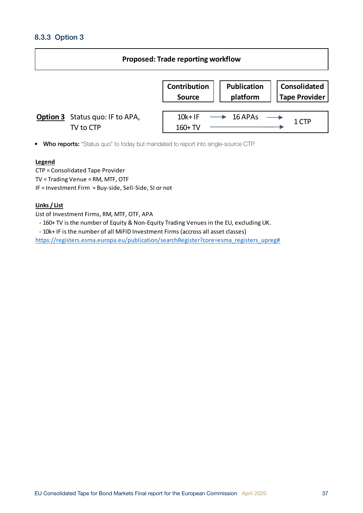## <span id="page-36-0"></span>8.3.3 Option 3

| <b>Proposed: Trade reporting workflow</b> |                                                     |                                      |                                |                                      |  |
|-------------------------------------------|-----------------------------------------------------|--------------------------------------|--------------------------------|--------------------------------------|--|
|                                           |                                                     | <b>Contribution</b><br><b>Source</b> | <b>Publication</b><br>platform | Consolidated<br><b>Tape Provider</b> |  |
|                                           | <b>Option 3</b> Status quo: IF to APA,<br>TV to CTP | $10k+IF$<br>$160+TV$                 | 16 APAs                        | 1 CTP                                |  |

• Who reports: "Status quo" to today but mandated to report into single-source CTP.

#### **Legend**

CTP = Consolidated Tape Provider TV = Trading Venue = RM, MTF, OTF IF = Investment Firm = Buy-side, Sell-Side, SI or not

#### **Links / List**

List of Investment Firms, RM, MTF, OTF, APA

- 160+ TV is the number of Equity & Non-Equity Trading Venues in the EU, excluding UK.

- 10k+ IF is the number of all MiFID Investment Firms (accross all asset classes)

https://registers.esma.europa.eu/publication/searchRegister?core=esma\_registers\_upreg#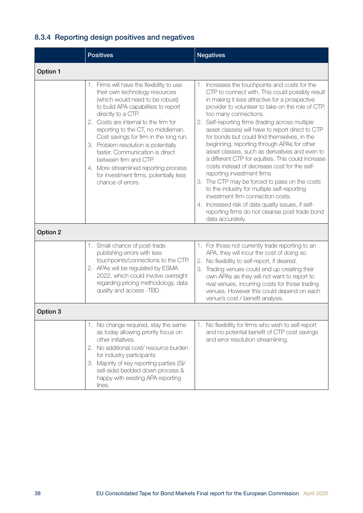## <span id="page-37-0"></span>8.3.4 Reporting design positives and negatives

|          | <b>Positives</b>                                                                                                                                                                                                                                                                                                                                                                                                                                                                                                 | <b>Negatives</b>                                                                                                                                                                                                                                                                                                                                                                                                                                                                                                                                                                                                                                                                                                                                                                                                                                                                              |  |  |  |  |
|----------|------------------------------------------------------------------------------------------------------------------------------------------------------------------------------------------------------------------------------------------------------------------------------------------------------------------------------------------------------------------------------------------------------------------------------------------------------------------------------------------------------------------|-----------------------------------------------------------------------------------------------------------------------------------------------------------------------------------------------------------------------------------------------------------------------------------------------------------------------------------------------------------------------------------------------------------------------------------------------------------------------------------------------------------------------------------------------------------------------------------------------------------------------------------------------------------------------------------------------------------------------------------------------------------------------------------------------------------------------------------------------------------------------------------------------|--|--|--|--|
| Option 1 |                                                                                                                                                                                                                                                                                                                                                                                                                                                                                                                  |                                                                                                                                                                                                                                                                                                                                                                                                                                                                                                                                                                                                                                                                                                                                                                                                                                                                                               |  |  |  |  |
|          | 1. Firms will have the flexibility to use<br>their own technology resources<br>(which would need to be robust)<br>to build APA capabilities to report<br>directly to a CTP.<br>2. Costs are internal to the firm for<br>reporting to the CT, no middleman.<br>Cost savings for firm in the long run.<br>3. Problem resolution is potentially<br>faster. Communication is direct<br>between firm and CTP.<br>4. More streamlined reporting process<br>for investment firms, potentially less<br>chance of errors. | 1. Increases the touchpoints and costs for the<br>CTP to connect with. This could possibly result<br>in making it less attractive for a prospective<br>provider to volunteer to take on the role of CTP,<br>too many connections.<br>2. Self-reporting firms (trading across multiple<br>asset classes) will have to report direct to CTP<br>for bonds but could find themselves, in the<br>beginning, reporting through APAs for other<br>asset classes, such as derivatives and even to<br>a different CTP for equities. This could increase<br>costs instead of decrease cost for the self-<br>reporting investment firms<br>3. The CTP may be forced to pass on the costs<br>to the industry for multiple self-reporting<br>investment firm connection costs.<br>4. Increased risk of data quality issues, if self-<br>reporting firms do not cleanse post trade bond<br>data accurately. |  |  |  |  |
| Option 2 |                                                                                                                                                                                                                                                                                                                                                                                                                                                                                                                  |                                                                                                                                                                                                                                                                                                                                                                                                                                                                                                                                                                                                                                                                                                                                                                                                                                                                                               |  |  |  |  |
|          | 1. Small chance of post-trade<br>publishing errors with less<br>touchpoints/connections to the CTP.<br>2. APAs will be regulated by ESMA<br>2022, which could involve oversight<br>regarding pricing methodology, data<br>quality and access -TBD.                                                                                                                                                                                                                                                               | 1. For those not currently trade reporting to an<br>APA, they will incur the cost of doing so.<br>2. No flexibility to self-report, if desired.<br>3. Trading venues could end up creating their<br>own APAs as they will not want to report to<br>rival venues, incurring costs for those trading<br>venues. However this could depend on each<br>venue's cost / benefit analysis.                                                                                                                                                                                                                                                                                                                                                                                                                                                                                                           |  |  |  |  |
| Option 3 |                                                                                                                                                                                                                                                                                                                                                                                                                                                                                                                  |                                                                                                                                                                                                                                                                                                                                                                                                                                                                                                                                                                                                                                                                                                                                                                                                                                                                                               |  |  |  |  |
|          | 1. No change required, stay the same<br>as today allowing priority focus on<br>other initiatives.<br>No additional cost/ resource burden<br>2.<br>for industry participants<br>Majority of key reporting parties (SI/<br>З.<br>sell-side) bedded down process &<br>happy with existing APA reporting<br>lines.                                                                                                                                                                                                   | 1. No flexibility for firms who wish to self-report<br>and no potential benefit of CTP cost savings<br>and error resolution streamlining.                                                                                                                                                                                                                                                                                                                                                                                                                                                                                                                                                                                                                                                                                                                                                     |  |  |  |  |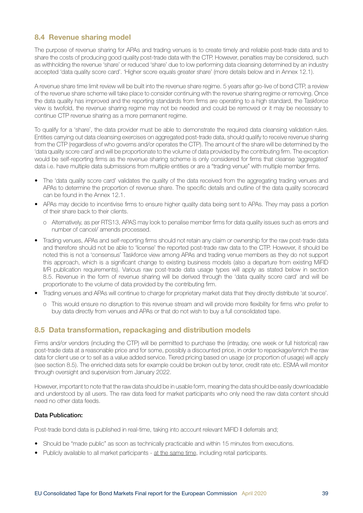### <span id="page-38-0"></span>8.4 Revenue sharing model

The purpose of revenue sharing for APAs and trading venues is to create timely and reliable post-trade data and to share the costs of producing good quality post-trade data with the CTP. However, penalties may be considered, such as withholding the revenue 'share' or reduced 'share' due to low performing data cleansing determined by an industry accepted 'data quality score card'. 'Higher score equals greater share' (more details below and in Annex 12.1).

A revenue share time limit review will be built into the revenue share regime. 5 years after go-live of bond CTP, a review of the revenue share scheme will take place to consider continuing with the revenue sharing regime or removing. Once the data quality has improved and the reporting standards from firms are operating to a high standard, the Taskforce view is twofold, the revenue sharing regime may not be needed and could be removed or it may be necessary to continue CTP revenue sharing as a more permanent regime.

To qualify for a 'share', the data provider must be able to demonstrate the required data cleansing validation rules. Entities carrying out data cleansing exercises on aggregated post-trade data, should qualify to receive revenue sharing from the CTP (regardless of who governs and/or operates the CTP). The amount of the share will be determined by the 'data quality score card' and will be proportionate to the volume of data provided by the contributing firm. The exception would be self-reporting firms as the revenue sharing scheme is only considered for firms that cleanse 'aggregated' data i.e. have multiple data submissions from multiple entities or are a "trading venue" with multiple member firms.

- The 'data quality score card' validates the quality of the data received from the aggregating trading venues and APAs to determine the proportion of revenue share. The specific details and outline of the data quality scorecard can be found in the Annex 12.1.
- APAs may decide to incentivise firms to ensure higher quality data being sent to APAs. They may pass a portion of their share back to their clients.
	- o Alternatively, as per RTS13, APAS may look to penalise member firms for data quality issues such as errors and number of cancel/ amends processed.
- Trading venues, APAs and self-reporting firms should not retain any claim or ownership for the raw post-trade data and therefore should not be able to 'license' the reported post-trade raw data to the CTP. However, it should be noted this is not a 'consensus' Taskforce view among APAs and trading venue members as they do not support this approach, which is a significant change to existing business models (also a departure from existing MiFID II/R publication requirements). Various raw post-trade data usage types will apply as stated below in section 8.5. Revenue in the form of revenue sharing will be derived through the 'data quality score card' and will be proportionate to the volume of data provided by the contributing firm.
- Trading venues and APAs will continue to charge for proprietary market data that they directly distribute 'at source'.
	- o This would ensure no disruption to this revenue stream and will provide more flexibility for firms who prefer to buy data directly from venues and APAs or that do not wish to buy a full consolidated tape.

### 8.5 Data transformation, repackaging and distribution models

Firms and/or vendors (including the CTP) will be permitted to purchase the (intraday, one week or full historical) raw post-trade data at a reasonable price and for some, possibly a discounted price, in order to repackage/enrich the raw data for client use or to sell as a value added service. Tiered pricing based on usage (or proportion of usage) will apply (see section 8.5). The enriched data sets for example could be broken out by tenor, credit rate etc. ESMA will monitor through oversight and supervision from January 2022.

However, important to note that the raw data should be in usable form, meaning the data should be easily downloadable and understood by all users. The raw data feed for market participants who only need the raw data content should need no other data feeds.

#### Data Publication:

Post-trade bond data is published in real-time, taking into account relevant MiFID II deferrals and;

- Should be "made public" as soon as technically practicable and within 15 minutes from executions.
- Publicly available to all market participants at the same time, including retail participants.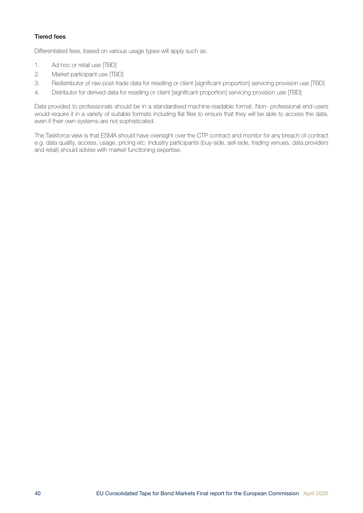#### Tiered fees

Differentiated fees, based on various usage types will apply such as:

- 1. Ad hoc or retail use [TBD]
- 2. Market participant use [TBD]
- 3. Redistributor of raw post-trade data for reselling or client [significant proportion] servicing provision use [TBD]
- 4. Distributor for derived data for reselling or client [significant proportion] servicing provision use [TBD]

Data provided to professionals should be in a standardised machine-readable format. Non- professional end-users would require it in a variety of suitable formats including flat files to ensure that they will be able to access the data, even if their own systems are not sophisticated.

The Taskforce view is that ESMA should have oversight over the CTP contract and monitor for any breach of contract e.g. data quality, access, usage, pricing etc. Industry participants (buy-side, sell-side, trading venues, data providers and retail) should advise with market functioning expertise.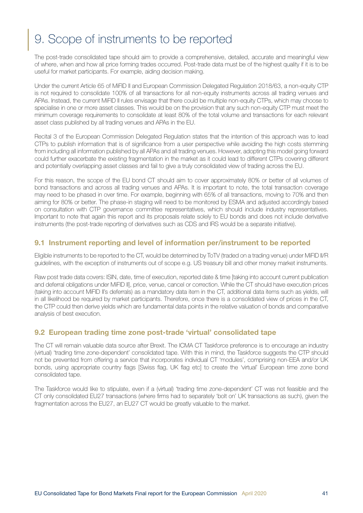# <span id="page-40-0"></span>9. Scope of instruments to be reported

The post-trade consolidated tape should aim to provide a comprehensive, detailed, accurate and meaningful view of where, when and how all price forming trades occurred. Post-trade data must be of the highest quality if it is to be useful for market participants. For example, aiding decision making.

Under the current Article 65 of MiFID II and European Commission Delegated Regulation 2018/63, a non-equity CTP is not required to consolidate 100% of all transactions for all non-equity instruments across all trading venues and APAs. Instead, the current MiFID II rules envisage that there could be multiple non-equity CTPs, which may choose to specialise in one or more asset classes. This would be on the provision that any such non-equity CTP must meet the minimum coverage requirements to consolidate at least 80% of the total volume and transactions for each relevant asset class published by all trading venues and APAs in the EU.

Recital 3 of the European Commission Delegated Regulation states that the intention of this approach was to lead CTPs to publish information that is of significance from a user perspective while avoiding the high costs stemming from including all information published by all APAs and all trading venues. However, adopting this model going forward could further exacerbate the existing fragmentation in the market as it could lead to different CTPs covering different and potentially overlapping asset classes and fail to give a truly consolidated view of trading across the EU.

For this reason, the scope of the EU bond CT should aim to cover approximately 80% or better of all volumes of bond transactions and across all trading venues and APAs. It is important to note, the total transaction coverage may need to be phased in over time. For example, beginning with 65% of all transactions, moving to 70% and then aiming for 80% or better. The phase-in staging will need to be monitored by ESMA and adjusted accordingly based on consultation with CTP governance committee representatives, which should include industry representatives. Important to note that again this report and its proposals relate solely to EU bonds and does not include derivative instruments (the post-trade reporting of derivatives such as CDS and IRS would be a separate initiative).

## 9.1 Instrument reporting and level of information per/instrument to be reported

Eligible instruments to be reported to the CT, would be determined by ToTV (traded on a trading venue) under MiFID II/R guidelines, with the exception of instruments out of scope e.g. US treasury bill and other money market instruments.

Raw post trade data covers: ISIN, date, time of execution, reported date & time [taking into account current publication and deferral obligations under MiFID II], price, venue, cancel or correction. While the CT should have execution prices (taking into account MiFID II's deferrals) as a mandatory data item in the CT, additional data items such as yields, will in all likelihood be required by market participants. Therefore, once there is a consolidated view of prices in the CT, the CTP could then derive yields which are fundamental data points in the relative valuation of bonds and comparative analysis of best execution.

### 9.2 European trading time zone post-trade 'virtual' consolidated tape

The CT will remain valuable data source after Brexit. The ICMA CT Taskforce preference is to encourage an industry (virtual) 'trading time zone-dependent' consolidated tape. With this in mind, the Taskforce suggests the CTP should not be prevented from offering a service that incorporates individual CT 'modules', comprising non-EEA and/or UK bonds, using appropriate country flags [Swiss flag, UK flag etc] to create the 'virtual' European time zone bond consolidated tape.

The Taskforce would like to stipulate, even if a (virtual) 'trading time zone-dependent' CT was not feasible and the CT only consolidated EU27 transactions (where firms had to separately 'bolt on' UK transactions as such), given the fragmentation across the EU27, an EU27 CT would be greatly valuable to the market.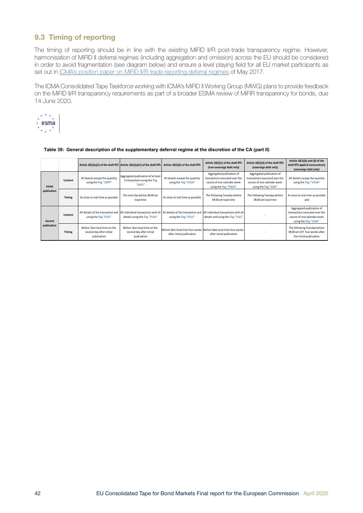## <span id="page-41-0"></span>9.3 Timing of reporting

The timing of reporting should be in line with the existing MiFID II/R post-trade transparency regime. However, harmonisation of MiFID II deferral regimes (including aggregation and omission) across the EU should be considered in order to avoid fragmentation (see diagram below) and ensure a level playing field for all EU market participants as set out in [ICMA's position paper on MiFID II/R trade reporting deferral regimes](http://www.icmagroup.org/assets/documents/Regulatory/Secondary-markets/MiFID-II-Post-trade-transparency---ICMA-Position-Paper---trade-deferral-regimes-%284-May-2017---Final%29.pdf) of May 2017.

The ICMA Consolidated Tape Taskforce working with ICMA's MiFID II Working Group (MWG) plans to provide feedback on the MiFID II/R transparency requirements as part of a broader ESMA review of MiFIR transparency for bonds, due 14 June 2020.



|                               |         |                                                                         | Article 10(1)(a)(i) of the draft RTS Article 10(1)(a)(ii) of the draft RTS    | Article 10(1)(b) of the draft RTS                           | Article 10(1)(c) of the draft RTS<br>(non-sovereign debt only)                                                      | Article 10(1)(d) of the draft RTS<br>(sovereign debt only)                                                          | Article $10(1)(b)$ and (d) of the<br>draft RTS applied consecutively<br>(sovereign debt only)                       |
|-------------------------------|---------|-------------------------------------------------------------------------|-------------------------------------------------------------------------------|-------------------------------------------------------------|---------------------------------------------------------------------------------------------------------------------|---------------------------------------------------------------------------------------------------------------------|---------------------------------------------------------------------------------------------------------------------|
| <b>Initial</b><br>publication | Content | All details except the quantity<br>using the flag "LMTF"                | Aggregated publication of at least<br>5 transactions using the flag<br>"DATF" | All details except the quantity<br>using the flag "VOLO"    | Aggregated publication of<br>transactions executed over the<br>course of one calendar week<br>using the flag "FWAF" | Aggregated publication of<br>transactions executed over the<br>course of one calendar week<br>using the flag "IDAF" | All details except the quantity<br>using the flag "VOLW"                                                            |
|                               | Timing  | As close to real time as possible                                       | The next day before 09.00 am<br>local time                                    | As close to real time as possible                           | The following Tuesday before<br>09.00 am local time                                                                 | The following Tuesday before<br>09.00 am local time                                                                 | As close to real time as possible<br>and                                                                            |
| Second<br>publication         | Content | All details of the transaction and<br>using the flag "FULF"             | All individual transactions with all<br>details using the flag "FULA"         | All details of the transaction and<br>using the flag "FULV" | All individual transactions with all<br>details and using the flag "FULJ"                                           |                                                                                                                     | Aggregated publication of<br>transactions executed over the<br>course of one calendar week<br>using the flag "COAF" |
|                               | Timing  | Before 7pm local time on the<br>second day after initial<br>publication | Before 7pm local time on the<br>second day after initial<br>publication       | after initial publication                                   | Before 9am local time four weeks Before 9am local time four weeks<br>after initial publication                      |                                                                                                                     | The following Tuesday before<br>09.00 am CET four weeks after<br>the initial publication                            |

#### **Table 39: General description of the supplementary deferral regime at the discretion of the CA (part II)**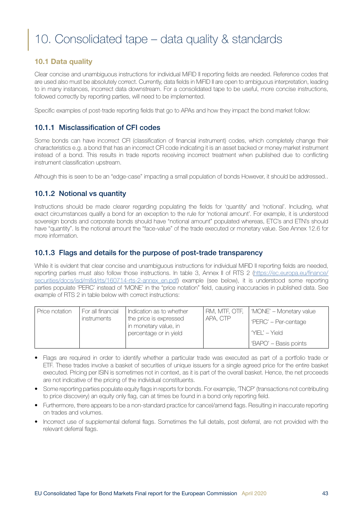# <span id="page-42-0"></span>10. Consolidated tape – data quality & standards

## 10.1 Data quality

Clear concise and unambiguous instructions for individual MiFID II reporting fields are needed. Reference codes that are used also must be absolutely correct. Currently, data fields in MiFID II are open to ambiguous interpretation, leading to in many instances, incorrect data downstream. For a consolidated tape to be useful, more concise instructions, followed correctly by reporting parties, will need to be implemented.

Specific examples of post-trade reporting fields that go to APAs and how they impact the bond market follow:

## 10.1.1 Misclassification of CFI codes

Some bonds can have incorrect CFI (classification of financial instrument) codes, which completely change their characteristics e.g. a bond that has an incorrect CFI code indicating it is an asset backed or money market instrument instead of a bond. This results in trade reports receiving incorrect treatment when published due to conflicting instrument classification upstream.

Although this is seen to be an "edge-case" impacting a small population of bonds However, it should be addressed..

## 10.1.2 Notional vs quantity

Instructions should be made clearer regarding populating the fields for 'quantity' and 'notional'. Including, what exact circumstances qualify a bond for an exception to the rule for 'notional amount'. For example, it is understood sovereign bonds and corporate bonds should have "notional amount" populated whereas, ETC's and ETN's should have "quantity". Is the notional amount the "face-value" of the trade executed or monetary value. See Annex 12.6 for more information.

### 10.1.3 Flags and details for the purpose of post-trade transparency

While it is evident that clear concise and unambiguous instructions for individual MiFID II reporting fields are needed, reporting parties must also follow those instructions. In table 3, Annex II of RTS 2 ([https://ec.europa.eu/finance/](https://ec.europa.eu/finance/securities/docs/isd/mifid/rts/160714-rts-2-annex_en.pdf) [securities/docs/isd/mifid/rts/160714-rts-2-annex\\_en.pdf](https://ec.europa.eu/finance/securities/docs/isd/mifid/rts/160714-rts-2-annex_en.pdf)) example (see below), it is understood some reporting parties populate 'PERC' instead of 'MONE' in the "price notation" field, causing inaccuracies in published data. See example of RTS 2 in table below with correct instructions:

| Price notation | For all financial<br>instruments | Indication as to whether<br>the price is expressed<br>in monetary value, in | RM, MTF, OTF,<br>APA, CTP | 'MONE' – Monetary value<br>l 'PERC' – Per-centage |
|----------------|----------------------------------|-----------------------------------------------------------------------------|---------------------------|---------------------------------------------------|
|                |                                  | percentage or in yield                                                      |                           | I 'YIFI' – Yield<br>'BAPO' – Basis points         |

- Flags are required in order to identify whether a particular trade was executed as part of a portfolio trade or ETF. These trades involve a basket of securities of unique issuers for a single agreed price for the entire basket executed. Pricing per ISIN is sometimes not in context, as it is part of the overall basket. Hence, the net proceeds are not indicative of the pricing of the individual constituents.
- Some reporting parties populate equity flags in reports for bonds. For example, 'TNCP' (transactions not contributing to price discovery) an equity only flag, can at times be found in a bond only reporting field.
- Furthermore, there appears to be a non-standard practice for cancel/amend flags. Resulting in inaccurate reporting on trades and volumes.
- Incorrect use of supplemental deferral flags. Sometimes the full details, post deferral, are not provided with the relevant deferral flags.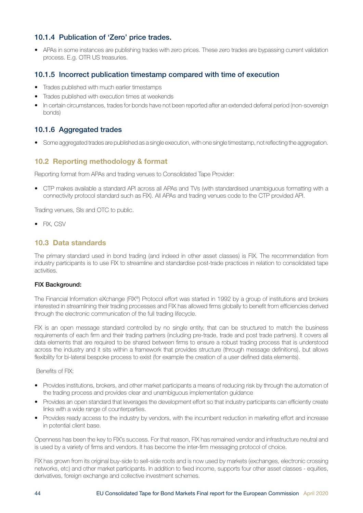### <span id="page-43-0"></span>10.1.4 Publication of 'Zero' price trades.

• APAs in some instances are publishing trades with zero prices. These zero trades are bypassing current validation process. E.g. OTR US treasuries.

### 10.1.5 Incorrect publication timestamp compared with time of execution

- Trades published with much earlier timestamps
- Trades published with execution times at weekends
- In certain circumstances, trades for bonds have not been reported after an extended deferral period (non-sovereign bonds)

## 10.1.6 Aggregated trades

• Some aggregated trades are published as a single execution, with one single timestamp, not reflecting the aggregation.

### 10.2 Reporting methodology & format

Reporting format from APAs and trading venues to Consolidated Tape Provider:

• CTP makes available a standard API across all APAs and TVs (with standardised unambiguous formatting with a connectivity protocol standard such as FIX). All APAs and trading venues code to the CTP provided API.

Trading venues, SIs and OTC to public.

• FIX, CSV

#### 10.3 Data standards

The primary standard used in bond trading (and indeed in other asset classes) is FIX. The recommendation from industry participants is to use FIX to streamline and standardise post-trade practices in relation to consolidated tape activities.

#### FIX Background:

The Financial Information eXchange (FIX®) Protocol effort was started in 1992 by a group of institutions and brokers interested in streamlining their trading processes and FIX has allowed firms globally to benefit from efficiencies derived through the electronic communication of the full trading lifecycle.

FIX is an open message standard controlled by no single entity, that can be structured to match the business requirements of each firm and their trading partners (including pre-trade, trade and post trade partners). It covers all data elements that are required to be shared between firms to ensure a robust trading process that is understood across the industry and it sits within a framework that provides structure (through message definitions), but allows flexibility for bi-lateral bespoke process to exist (for example the creation of a user defined data elements).

#### Benefits of FIX:

- Provides institutions, brokers, and other market participants a means of reducing risk by through the automation of the trading process and provides clear and unambiguous implementation guidance
- Provides an open standard that leverages the development effort so that industry participants can efficiently create links with a wide range of counterparties.
- Provides ready access to the industry by vendors, with the incumbent reduction in marketing effort and increase in potential client base.

Openness has been the key to FIX's success. For that reason, FIX has remained vendor and infrastructure neutral and is used by a variety of firms and vendors. It has become the inter-firm messaging protocol of choice.

FIX has grown from its original buy-side to sell-side roots and is now used by markets (exchanges, electronic crossing networks, etc) and other market participants. In addition to fixed income, supports four other asset classes - equities, derivatives, foreign exchange and collective investment schemes.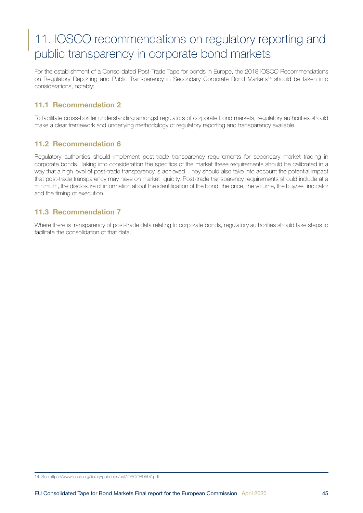# <span id="page-44-0"></span>11. IOSCO recommendations on regulatory reporting and public transparency in corporate bond markets

For the establishment of a Consolidated Post-Trade Tape for bonds in Europe, the 2018 IOSCO Recommendations on Regulatory Reporting and Public Transparency in Secondary Corporate Bond Markets<sup>14</sup> should be taken into considerations, notably:

## 11.1 Recommendation 2

To facilitate cross-border understanding amongst regulators of corporate bond markets, regulatory authorities should make a clear framework and underlying methodology of regulatory reporting and transparency available.

## 11.2 Recommendation 6

Regulatory authorities should implement post-trade transparency requirements for secondary market trading in corporate bonds. Taking into consideration the specifics of the market these requirements should be calibrated in a way that a high level of post-trade transparency is achieved. They should also take into account the potential impact that post-trade transparency may have on market liquidity. Post-trade transparency requirements should include at a minimum, the disclosure of information about the identification of the bond, the price, the volume, the buy/sell indicator and the timing of execution.

### 11.3 Recommendation 7

Where there is transparency of post-trade data relating to corporate bonds, regulatory authorities should take steps to facilitate the consolidation of that data.

14 See <https://www.iosco.org/library/pubdocs/pdf/IOSCOPD597.pdf>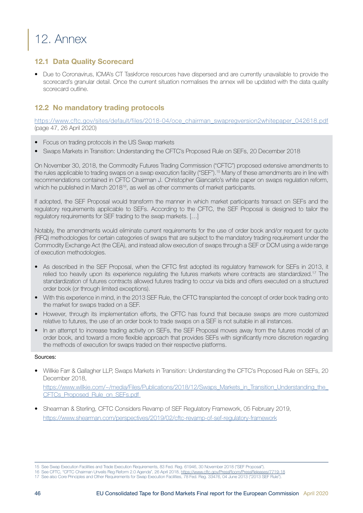# <span id="page-45-0"></span>12. Annex

## 12.1 Data Quality Scorecard

• Due to Coronavirus, ICMA's CT Taskforce resources have dispersed and are currently unavailable to provide the scorecard's granular detail. Once the current situation normalises the annex will be updated with the data quality scorecard outline.

## 12.2 No mandatory trading protocols

[https://www.cftc.gov/sites/default/files/2018-04/oce\\_chairman\\_swapregversion2whitepaper\\_042618.pdf](https://www.cftc.gov/sites/default/files/2018-04/oce_chairman_swapregversion2whitepaper_042618.pdf) (page 47, 26 April 2020)

- Focus on trading protocols in the US Swap markets
- Swaps Markets in Transition: Understanding the CFTC's Proposed Rule on SEFs, 20 December 2018

On November 30, 2018, the Commodity Futures Trading Commission ("CFTC") proposed extensive amendments to the rules applicable to trading swaps on a swap execution facility ("SEF").15 Many of these amendments are in line with recommendations contained in CFTC Chairman J. Christopher Giancarlo's white paper on swaps regulation reform, which he published in March 2018<sup>16</sup>, as well as other comments of market participants.

If adopted, the SEF Proposal would transform the manner in which market participants transact on SEFs and the regulatory requirements applicable to SEFs. According to the CFTC, the SEF Proposal is designed to tailor the regulatory requirements for SEF trading to the swap markets. […]

Notably, the amendments would eliminate current requirements for the use of order book and/or request for quote (RFQ) methodologies for certain categories of swaps that are subject to the mandatory trading requirement under the Commodity Exchange Act (the CEA), and instead allow execution of swaps through a SEF or DCM using a wide range of execution methodologies.

- As described in the SEF Proposal, when the CFTC first adopted its regulatory framework for SEFs in 2013, it relied too heavily upon its experience regulating the futures markets where contracts are standardized.17 The standardization of futures contracts allowed futures trading to occur via bids and offers executed on a structured order book (or through limited exceptions).
- With this experience in mind, in the 2013 SEF Rule, the CFTC transplanted the concept of order book trading onto the market for swaps traded on a SEF.
- However, through its implementation efforts, the CFTC has found that because swaps are more customized relative to futures, the use of an order book to trade swaps on a SEF is not suitable in all instances.
- In an attempt to increase trading activity on SEFs, the SEF Proposal moves away from the futures model of an order book, and toward a more flexible approach that provides SEFs with significantly more discretion regarding the methods of execution for swaps traded on their respective platforms.

#### Sources:

• Willkie Farr & Gallagher LLP, Swaps Markets in Transition: Understanding the CFTC's Proposed Rule on SEFs, 20 December 2018,

https://www.willkie.com/~/media/Files/Publications/2018/12/Swaps\_Markets\_in\_Transition\_Understanding\_the [CFTCs\\_Proposed\\_Rule\\_on\\_SEFs.pdf](https://www.willkie.com/~/media/Files/Publications/2018/12/Swaps_Markets_in_Transition_Understanding_the_CFTCs_Proposed_Rule_on_SEFs.pdf) 

• Shearman & Sterling, CFTC Considers Revamp of SEF Regulatory Framework, 05 February 2019, <https://www.shearman.com/perspectives/2019/02/cftc-revamp-of-sef-regulatory-framework>

<sup>15</sup> See Swap Execution Facilities and Trade Execution Requirements, 83 Fed. Reg. 61946, 30 November 2018 ("SEF Proposal").

<sup>16</sup> See CFTC, "CFTC Chairman Unveils Reg Reform 2.0 Agenda", 26 April 2018, <https://www.cftc.gov/PressRoom/PressReleases/7719-18>

<sup>17</sup> See also Core Principles and Other Requirements for Swap Execution Facilities, 78 Fed. Reg. 33476, 04 June 2013 ("2013 SEF Rule").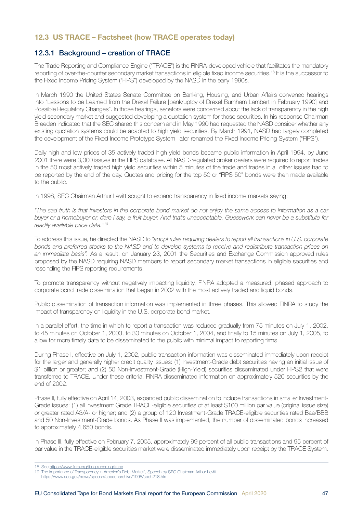### <span id="page-46-0"></span>12.3 US TRACE – Factsheet (how TRACE operates today)

### 12.3.1 Background – creation of TRACE

The Trade Reporting and Compliance Engine ("TRACE") is the FINRA-developed vehicle that facilitates the mandatory reporting of over-the-counter secondary market transactions in eligible fixed income securities.18 It is the successor to the Fixed Income Pricing System ("FIPS") developed by the NASD in the early 1990s.

In March 1990 the United States Senate Committee on Banking, Housing, and Urban Affairs convened hearings into "Lessons to be Learned from the Drexel Failure [bankruptcy of Drexel Burnham Lambert in February 1990] and Possible Regulatory Changes". In those hearings, senators were concerned about the lack of transparency in the high yield secondary market and suggested developing a quotation system for those securities. In his response Chairman Breeden indicated that the SEC shared this concern and in May 1990 had requested the NASD consider whether any existing quotation systems could be adapted to high yield securities. By March 1991, NASD had largely completed the development of the Fixed Income Prototype System, later renamed the Fixed Income Pricing System ("FIPS").

Daily high and low prices of 35 actively traded high yield bonds became public information in April 1994, by June 2001 there were 3,000 issues in the FIPS database. All NASD-regulated broker dealers were required to report trades in the 50 most actively traded high yield securities within 5 minutes of the trade and trades in all other issues had to be reported by the end of the day. Quotes and pricing for the top 50 or "FIPS 50" bonds were then made available to the public.

In 1998, SEC Chairman Arthur Levitt sought to expand transparency in fixed income markets saying:

*"The sad truth is that investors in the corporate bond market do not enjoy the same access to information as a car buyer or a homebuyer or, dare I say, a fruit buyer. And that's unacceptable. Guesswork can never be a substitute for readily available price data."19*

To address this issue, he directed the NASD to *"adopt rules requiring dealers to report all transactions in U.S. corporate bonds and preferred stocks to the NASD and to develop systems to receive and redistribute transaction prices on an immediate basis".* As a result, on January 23, 2001 the Securities and Exchange Commission approved rules proposed by the NASD requiring NASD members to report secondary market transactions in eligible securities and rescinding the FIPS reporting requirements.

To promote transparency without negatively impacting liquidity, FINRA adopted a measured, phased approach to corporate bond trade dissemination that began in 2002 with the most actively traded and liquid bonds.

Public dissemination of transaction information was implemented in three phases. This allowed FINRA to study the impact of transparency on liquidity in the U.S. corporate bond market.

In a parallel effort, the time in which to report a transaction was reduced gradually from 75 minutes on July 1, 2002, to 45 minutes on October 1, 2003, to 30 minutes on October 1, 2004, and finally to 15 minutes on July 1, 2005, to allow for more timely data to be disseminated to the public with minimal impact to reporting firms.

During Phase I, effective on July 1, 2002, public transaction information was disseminated immediately upon receipt for the larger and generally higher credit quality issues: (1) Investment-Grade debt securities having an initial issue of \$1 billion or greater; and (2) 50 Non-Investment-Grade (High-Yield) securities disseminated under FIPS2 that were transferred to TRACE. Under these criteria, FINRA disseminated information on approximately 520 securities by the end of 2002.

Phase II, fully effective on April 14, 2003, expanded public dissemination to include transactions in smaller Investment-Grade issues: (1) all Investment Grade TRACE-eligible securities of at least \$100 million par value (original issue size) or greater rated A3/A- or higher; and (2) a group of 120 Investment-Grade TRACE-eligible securities rated Baa/BBB and 50 Non-Investment-Grade bonds. As Phase II was implemented, the number of disseminated bonds increased to approximately 4,650 bonds.

In Phase III, fully effective on February 7, 2005, approximately 99 percent of all public transactions and 95 percent of par value in the TRACE-eligible securities market were disseminated immediately upon receipt by the TRACE System.

<sup>18</sup> See <https://www.finra.org/filing-reporting/trace>

<sup>19</sup> The Importance of Transparency In America's Debt Market", Speech by SEC Chairman Arthur Levitt.

<https://www.sec.gov/news/speech/speecharchive/1998/spch218.htm>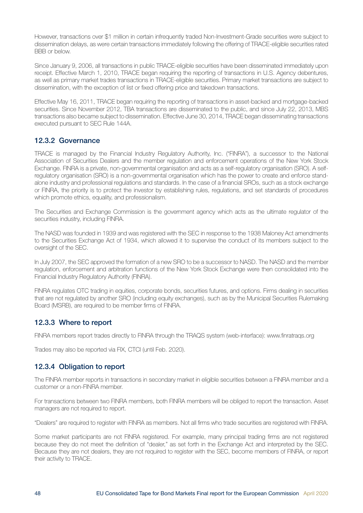<span id="page-47-0"></span>However, transactions over \$1 million in certain infrequently traded Non-Investment-Grade securities were subject to dissemination delays, as were certain transactions immediately following the offering of TRACE-eligible securities rated BBB or below.

Since January 9, 2006, all transactions in public TRACE-eligible securities have been disseminated immediately upon receipt. Effective March 1, 2010, TRACE began requiring the reporting of transactions in U.S. Agency debentures, as well as primary market trades transactions in TRACE-eligible securities. Primary market transactions are subject to dissemination, with the exception of list or fixed offering price and takedown transactions.

Effective May 16, 2011, TRACE began requiring the reporting of transactions in asset-backed and mortgage-backed securities. Since November 2012, TBA transactions are disseminated to the public, and since July 22, 2013, MBS transactions also became subject to dissemination. Effective June 30, 2014, TRACE began disseminating transactions executed pursuant to SEC Rule 144A.

## 12.3.2 Governance

TRACE is managed by the Financial Industry Regulatory Authority, Inc. ("FINRA"), a successor to the National Association of Securities Dealers and the member regulation and enforcement operations of the New York Stock Exchange. FINRA is a private, non-governmental organisation and acts as a self-regulatory organisation (SRO). A selfregulatory organisation (SRO) is a non-governmental organisation which has the power to create and enforce standalone industry and professional regulations and standards. In the case of a financial SROs, such as a stock exchange or FINRA, the priority is to protect the investor by establishing rules, regulations, and set standards of procedures which promote ethics, equality, and professionalism.

The Securities and Exchange Commission is the government agency which acts as the ultimate regulator of the securities industry, including FINRA.

The NASD was founded in 1939 and was registered with the SEC in response to the 1938 Maloney Act amendments to the Securities Exchange Act of 1934, which allowed it to supervise the conduct of its members subject to the oversight of the SEC.

In July 2007, the SEC approved the formation of a new SRO to be a successor to NASD. The NASD and the member regulation, enforcement and arbitration functions of the New York Stock Exchange were then consolidated into the Financial Industry Regulatory Authority (FINRA).

FINRA regulates OTC trading in equities, corporate bonds, securities futures, and options. Firms dealing in securities that are not regulated by another SRO (including equity exchanges), such as by the Municipal Securities Rulemaking Board (MSRB), are required to be member firms of FINRA.

## 12.3.3 Where to report

FINRA members report trades directly to FINRA through the TRAQS system (web-interface): www.finratraqs.org

Trades may also be reported via FIX, CTCI (until Feb. 2020).

### 12.3.4 Obligation to report

The FINRA member reports in transactions in secondary market in eligible securities between a FINRA member and a customer or a non-FINRA member.

For transactions between two FINRA members, both FINRA members will be obliged to report the transaction. Asset managers are not required to report.

"Dealers" are required to register with FINRA as members. Not all firms who trade securities are registered with FINRA.

Some market participants are not FINRA registered. For example, many principal trading firms are not registered because they do not meet the definition of "dealer," as set forth in the Exchange Act and interpreted by the SEC. Because they are not dealers, they are not required to register with the SEC, become members of FINRA, or report their activity to TRACE.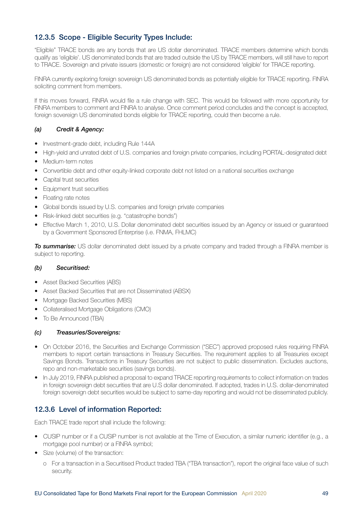## <span id="page-48-0"></span>12.3.5 Scope - Eligible Security Types Include:

"Eligible" TRACE bonds are any bonds that are US dollar denominated. TRACE members determine which bonds qualify as 'eligible'. US denominated bonds that are traded outside the US by TRACE members, will still have to report to TRACE. Sovereign and private issuers (domestic or foreign) are not considered 'eligible' for TRACE reporting.

FINRA currently exploring foreign sovereign US denominated bonds as potentially eligible for TRACE reporting. FINRA soliciting comment from members.

If this moves forward, FINRA would file a rule change with SEC. This would be followed with more opportunity for FINRA members to comment and FINRA to analyse. Once comment period concludes and the concept is accepted, foreign sovereign US denominated bonds eligible for TRACE reporting, could then become a rule.

#### *(a) Credit & Agency:*

- Investment-grade debt, including Rule 144A
- High-yield and unrated debt of U.S. companies and foreign private companies, including PORTAL-designated debt
- Medium-term notes
- Convertible debt and other equity-linked corporate debt not listed on a national securities exchange
- Capital trust securities
- Equipment trust securities
- Floating rate notes
- Global bonds issued by U.S. companies and foreign private companies
- Risk-linked debt securities (e.g. "catastrophe bonds")
- Effective March 1, 2010, U.S. Dollar denominated debt securities issued by an Agency or issued or guaranteed by a Government Sponsored Enterprise (i.e. FNMA, FHLMC)

*To summarise:* US dollar denominated debt issued by a private company and traded through a FINRA member is subject to reporting.

#### *(b) Securitised:*

- Asset Backed Securities (ABS)
- Asset Backed Securities that are not Disseminated (ABSX)
- Mortgage Backed Securities (MBS)
- Collateralised Mortgage Obligations (CMO)
- To Be Announced (TBA)

#### *(c) Treasuries/Sovereigns:*

- On October 2016, the Securities and Exchange Commission ("SEC") approved proposed rules requiring FINRA members to report certain transactions in Treasury Securities. The requirement applies to all Treasuries except Savings Bonds. Transactions in Treasury Securities are not subject to public dissemination. Excludes auctions, repo and non-marketable securities (savings bonds).
- In July 2019, FINRA published a proposal to expand TRACE reporting requirements to collect information on trades in foreign sovereign debt securities that are U.S dollar denominated. If adopted, trades in U.S. dollar-denominated foreign sovereign debt securities would be subject to same-day reporting and would not be disseminated publicly.

### 12.3.6 Level of information Reported:

Each TRACE trade report shall include the following:

- CUSIP number or if a CUSIP number is not available at the Time of Execution, a similar numeric identifier (e.g., a mortgage pool number) or a FINRA symbol;
- Size (volume) of the transaction:
	- o For a transaction in a Securitised Product traded TBA ("TBA transaction"), report the original face value of such security.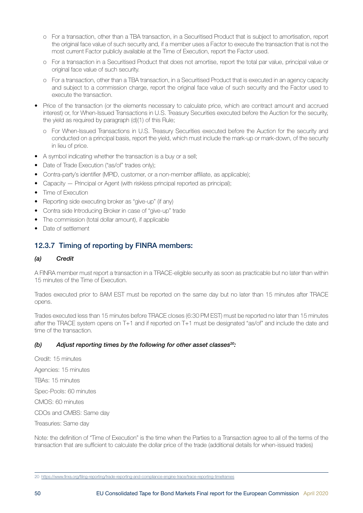- <span id="page-49-0"></span>o For a transaction, other than a TBA transaction, in a Securitised Product that is subject to amortisation, report the original face value of such security and, if a member uses a Factor to execute the transaction that is not the most current Factor publicly available at the Time of Execution, report the Factor used.
- o For a transaction in a Securitised Product that does not amortise, report the total par value, principal value or original face value of such security.
- o For a transaction, other than a TBA transaction, in a Securitised Product that is executed in an agency capacity and subject to a commission charge, report the original face value of such security and the Factor used to execute the transaction.
- Price of the transaction (or the elements necessary to calculate price, which are contract amount and accrued interest) or, for When-Issued Transactions in U.S. Treasury Securities executed before the Auction for the security, the yield as required by paragraph (d)(1) of this Rule;
	- o For When-Issued Transactions in U.S. Treasury Securities executed before the Auction for the security and conducted on a principal basis, report the yield, which must include the mark-up or mark-down, of the security in lieu of price.
- A symbol indicating whether the transaction is a buy or a sell;
- Date of Trade Execution ("as/of" trades only);
- Contra-party's identifier (MPID, customer, or a non-member affiliate, as applicable);
- Capacity Principal or Agent (with riskless principal reported as principal);
- Time of Execution
- Reporting side executing broker as "give-up" (if any)
- Contra side Introducing Broker in case of "give-up" trade
- The commission (total dollar amount), if applicable
- Date of settlement

## 12.3.7 Timing of reporting by FINRA members:

#### *(a) Credit*

A FINRA member must report a transaction in a TRACE-eligible security as soon as practicable but no later than within 15 minutes of the Time of Execution.

Trades executed prior to 8AM EST must be reported on the same day but no later than 15 minutes after TRACE opens.

Trades executed less than 15 minutes before TRACE closes (6:30 PM EST) must be reported no later than 15 minutes after the TRACE system opens on T+1 and if reported on T+1 must be designated "as/of" and include the date and time of the transaction.

#### *(b) Adjust reporting times by the following for other asset classes20:*

Credit: 15 minutes Agencies: 15 minutes TBAs: 15 minutes Spec-Pools: 60 minutes CMOS: 60 minutes CDOs and CMBS: Same day Treasuries: Same day

Note: the definition of "Time of Execution" is the time when the Parties to a Transaction agree to all of the terms of the transaction that are sufficient to calculate the dollar price of the trade (additional details for when-issued trades)

<sup>20</sup> <https://www.finra.org/filing-reporting/trade-reporting-and-compliance-engine-trace/trace-reporting-timeframes>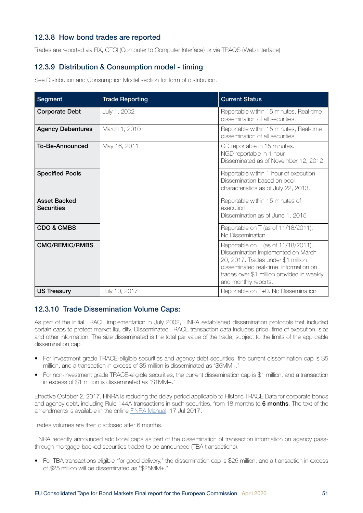### <span id="page-50-0"></span>12.3.8 How bond trades are reported

Trades are reported via FIX, CTCI (Computer to Computer Interface) or via TRAQS (Web interface).

## 12.3.9 Distribution & Consumption model - timing

See Distribution and Consumption Model section for form of distribution.

| <b>Segment</b>                           | <b>Trade Reporting</b> | <b>Current Status</b>                                                                                                                                                                                                           |
|------------------------------------------|------------------------|---------------------------------------------------------------------------------------------------------------------------------------------------------------------------------------------------------------------------------|
| <b>Corporate Debt</b>                    | July 1, 2002           | Reportable within 15 minutes, Real-time<br>dissemination of all securities.                                                                                                                                                     |
| <b>Agency Debentures</b>                 | March 1, 2010          | Reportable within 15 minutes, Real-time<br>dissemination of all securities.                                                                                                                                                     |
| <b>To-Be-Announced</b>                   | May 16, 2011           | GD reportable in 15 minutes.<br>NGD reportable in 1 hour.<br>Disseminated as of November 12, 2012                                                                                                                               |
| <b>Specified Pools</b>                   |                        | Reportable within 1 hour of execution.<br>Dissemination based on pool<br>characteristics as of July 22, 2013.                                                                                                                   |
| <b>Asset Backed</b><br><b>Securities</b> |                        | Reportable within 15 minutes of<br>execution<br>Dissemination as of June 1, 2015                                                                                                                                                |
| <b>CDO &amp; CMBS</b>                    |                        | Reportable on T (as of 11/18/2011).<br>No Dissemination.                                                                                                                                                                        |
| <b>CMO/REMIC/RMBS</b>                    |                        | Reportable on T (as of 11/18/2011).<br>Dissemination implemented on March<br>20, 2017. Trades under \$1 million<br>disseminated real-time. Information on<br>trades over \$1 million provided in weekly<br>and monthly reports. |
| <b>US Treasury</b>                       | July 10, 2017          | Reportable on T+0. No Dissemination                                                                                                                                                                                             |

#### 12.3.10 Trade Dissemination Volume Caps:

As part of the initial TRACE implementation in July 2002, FINRA established dissemination protocols that included certain caps to protect market liquidity. Disseminated TRACE transaction data includes price, time of execution, size and other information. The size disseminated is the total par value of the trade, subject to the limits of the applicable dissemination cap

- For investment grade TRACE-eligible securities and agency debt securities, the current dissemination cap is \$5 million, and a transaction in excess of \$5 million is disseminated as "\$5MM+.''
- For non-investment grade TRACE-eligible securities, the current dissemination cap is \$1 million, and a transaction in excess of \$1 million is disseminated as "\$1MM+."

Effective October 2, 2017, FINRA is reducing the delay period applicable to Historic TRACE Data for corporate bonds and agency debt, including Rule 144A transactions in such securities, from 18 months to 6 months. The text of the amendments is available in the online [FINRA Manual.](https://www.finra.org/sites/default/files/notice_doc_file_ref/Regulatory-Notice-17-23.pdf) 17 Jul 2017.

Trades volumes are then disclosed after 6 months.

FINRA recently announced additional caps as part of the dissemination of transaction information on agency passthrough mortgage-backed securities traded to be announced (TBA transactions).

• For TBA transactions eligible "for good delivery," the dissemination cap is \$25 million, and a transaction in excess of \$25 million will be disseminated as "\$25MM+."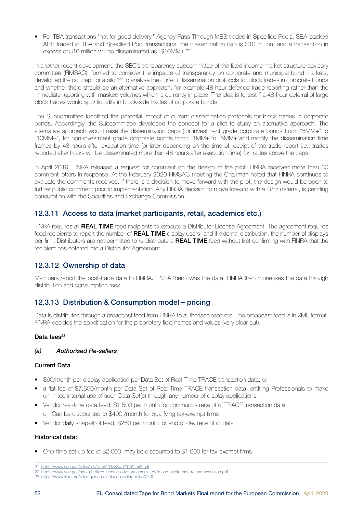<span id="page-51-0"></span>• For TBA transactions "not for good delivery," Agency Pass-Through MBS traded in Specified Pools, SBA-backed ABS traded in TBA and Specified Pool transactions, the dissemination cap is \$10 million, and a transaction in excess of \$10 million will be disseminated as "\$10MM+.''21

In another recent development, the SEC's transparency subcommittee of the fixed income market structure advisory committee (FIMSAC), formed to consider the impacts of transparency on corporate and municipal bond markets, developed the concept for a pilot<sup>"22</sup> to analyse the current dissemination protocols for block trades in corporate bonds and whether there should be an alternative approach, for example 48-hour deferred trade reporting rather than the immediate reporting with masked volumes which is currently in place. The idea is to test if a 48-hour deferral of large block trades would spur liquidity in block-side trades of corporate bonds.

The Subcommittee identified the potential impact of current dissemination protocols for block trades in corporate bonds. Accordingly, the Subcommittee developed the concept for a pilot to study an alternative approach. The alternative approach would raise the dissemination caps (for investment grade corporate bonds from: "5MM+" to "10MM+", for non-investment grade corporate bonds from: "1MM+"to "5MM+"and modify the dissemination time frames by 48 hours after execution time (or later depending on the time of receipt of the trade report i.e., trades reported after hours will be disseminated more than 48 hours after execution time) for trades above the caps.

In April 2019, FINRA released a request for comment on the design of the pilot. FINRA received more than 30 comment letters in response. At the February 2020 FIMSAC meeting the Chairman noted that FINRA continues to evaluate the comments received. If there is a decision to move forward with the pilot, the design would be open to further public comment prior to implementation. Any FINRA decision to move forward with a 48hr deferral, is pending consultation with the Securities and Exchange Commission.

## 12.3.11 Access to data (market participants, retail, academics etc.)

FINRA requires all **REAL TIME** feed recipients to execute a Distributor License Agreement. The agreement requires feed recipients to report the number of REAL TIME display users, and if external distribution, the number of displays per firm. Distributors are not permitted to re-distribute a REAL TIME feed without first confirming with FINRA that the recipient has entered into a Distributor Agreement.

## 12.3.12 Ownership of data

Members report the post-trade data to FINRA. FINRA then owns the data. FINRA then monetises the data through distribution and consumption fees.

## 12.3.13 Distribution & Consumption model – pricing

Data is distributed through a broadcast feed from FINRA to authorised resellers. The broadcast feed is in XML format. FINRA decides the specification for the proprietary field names and values (very clear cut).

#### Data fees<sup>23</sup>

#### *(a) Authorised Re-sellers*

#### Current Data

- \$60/month per display application per Data Set of Real-Time TRACE transaction data, or
- a flat fee of \$7,500/month per Data Set of Real-Time TRACE transaction data, entitling Professionals to make unlimited internal use of such Data Set(s) through any number of display applications.
- Vendor real-time data feed: \$1,500 per month for continuous receipt of TRACE transaction data
	- o Can be discounted to \$400 /month for qualifying tax-exempt firms
- Vendor daily snap-shot feed: \$250 per month for end of day receipt of data

#### Historical data:

• One-time set-up fee of \$2,000, may be discounted to \$1,000 for tax-exempt firms

<sup>21</sup> <https://www.sec.gov/rules/sro/finra/2013/34-70009-ex2.pdf>

<sup>22</sup> <https://www.sec.gov/spotlight/fixed-income-advisory-committee/fimsac-block-trade-recommendation.pdf>

<sup>23</sup> <https://www.finra.org/rules-guidance/rulebooks/finra-rules/7730>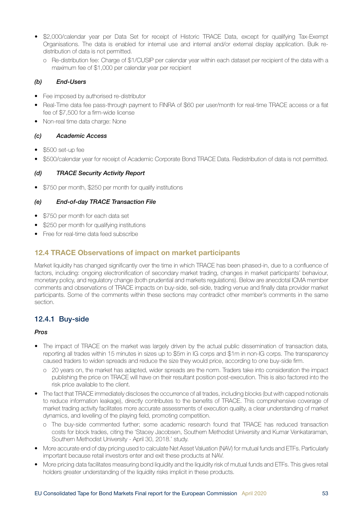- <span id="page-52-0"></span>• \$2,000/calendar year per Data Set for receipt of Historic TRACE Data, except for qualifying Tax-Exempt Organisations. The data is enabled for internal use and internal and/or external display application. Bulk redistribution of data is not permitted.
	- o Re-distribution fee: Charge of \$1/CUSIP per calendar year within each dataset per recipient of the data with a maximum fee of \$1,000 per calendar year per recipient

#### *(b) End-Users*

- Fee imposed by authorised re-distributor
- Real-Time data fee pass-through payment to FINRA of \$60 per user/month for real-time TRACE access or a flat fee of \$7,500 for a firm-wide license
- Non-real time data charge: None

#### *(c) Academic Access*

- \$500 set-up fee
- \$500/calendar year for receipt of Academic Corporate Bond TRACE Data. Redistribution of data is not permitted.

#### *(d) TRACE Security Activity Report*

• \$750 per month, \$250 per month for qualify institutions

#### *(e) End-of-day TRACE Transaction File*

- \$750 per month for each data set
- \$250 per month for qualifying institutions
- Free for real-time data feed subscribe

## 12.4 TRACE Observations of impact on market participants

Market liquidity has changed significantly over the time in which TRACE has been phased-in, due to a confluence of factors, including: ongoing electronification of secondary market trading, changes in market participants' behaviour, monetary policy, and regulatory change (both prudential and markets regulations). Below are anecdotal ICMA member comments and observations of TRACE impacts on buy-side, sell-side, trading venue and finally data provider market participants. Some of the comments within these sections may contradict other member's comments in the same section.

### 12.4.1 Buy-side

#### *Pros*

- The impact of TRACE on the market was largely driven by the actual public dissemination of transaction data, reporting all trades within 15 minutes in sizes up to \$5m in IG corps and \$1m in non-IG corps. The transparency caused traders to widen spreads and reduce the size they would price, according to one buy-side firm.
	- o 20 years on, the market has adapted, wider spreads are the norm. Traders take into consideration the impact publishing the price on TRACE will have on their resultant position post-execution. This is also factored into the risk price available to the client.
- The fact that TRACE immediately discloses the occurrence of all trades, including blocks (but with capped notionals to reduce information leakage), directly contributes to the benefits of TRACE. This comprehensive coverage of market trading activity facilitates more accurate assessments of execution quality, a clear understanding of market dynamics, and levelling of the playing field, promoting competition.
	- o The buy-side commented further; some academic research found that TRACE has reduced transaction costs for block trades, citing the 'Stacey Jacobsen, Southern Methodist University and Kumar Venkataraman, Southern Methodist University - April 30, 2018.' study.
- More accurate end of day pricing used to calculate Net Asset Valuation (NAV) for mutual funds and ETFs. Particularly important because retail investors enter and exit these products at NAV.
- More pricing data facilitates measuring bond liquidity and the liquidity risk of mutual funds and ETFs. This gives retail holders greater understanding of the liquidity risks implicit in these products.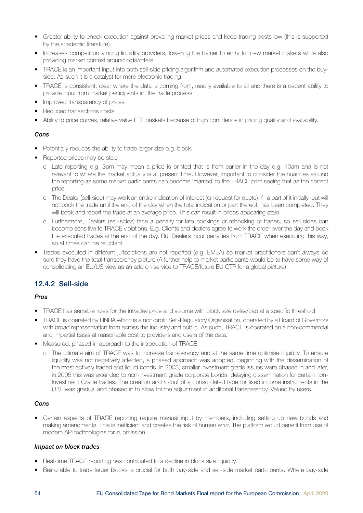- <span id="page-53-0"></span>• Greater ability to check execution against prevailing market prices and keep trading costs low (this is supported by the academic literature).
- Increases competition among liquidity providers, lowering the barrier to entry for new market makers while also providing market context around bids/offers
- TRACE is an important input into both sell-side pricing algorithm and automated execution processes on the buyside. As such it is a catalyst for more electronic trading.
- TRACE is consistent, clear where the data is coming from, readily available to all and there is a decent ability to provide input from market participants int the trade process.
- Improved transparency of prices
- Reduced transactions costs
- Ability to price curves, relative value ETF baskets because of high confidence in pricing quality and availability.

#### *Cons*

- Potentially reduces the ability to trade larger size e.g. block.
- Reported prices may be stale
	- o Late reporting e.g. 3pm may mean a price is printed that is from earlier in the day e.g. 10am and is not relevant to where the market actually is at present time. However, important to consider the nuances around the reporting as some market participants can become 'married' to the TRACE print seeing that as the correct price.
	- o The Dealer (sell-side) may work an entire indication of interest (or request for quote), fill a part of it initially, but will not book the trade until the end of the day when the total indication or part thereof, has been completed. They will book and report the trade at an average price. This can result in prices appearing stale.
	- o Furthermore, Dealers (sell-sides) face a penalty for late bookings or rebooking of trades, so sell sides can become sensitive to TRACE violations. E.g. Clients and dealers agree to work the order over the day and book the executed trades at the end of the day. But Dealers incur penalties from TRACE when executing this way, so at times can be reluctant.
- Trades executed in different jurisdictions are not reported (e.g. EMEA) so market practitioners can't always be sure they have the total transparency picture (A further help to market participants would be to have some way of consolidating an EU/US view as an add on service to TRACE/future EU CTP for a global picture).

## 12.4.2 Sell-side

#### *Pros*

- TRACE has sensible rules for the intraday price and volume with block size delay/cap at a specific threshold.
- TRACE is operated by FINRA which is a non-profit Self-Regulatory Organisation, operated by a Board of Governors with broad representation from across the industry and public. As such, TRACE is operated on a non-commercial and impartial basis at reasonable cost to providers and users of the data.
- Measured, phased-in approach to the introduction of TRACE:
	- o The ultimate aim of TRACE was to increase transparency and at the same time optimise liquidity. To ensure liquidity was not negatively affected, a phased approach was adopted, beginning with the dissemination of the most actively traded and liquid bonds. In 2003, smaller investment grade issues were phased in and later, in 2005 this was extended to non-investment grade corporate bonds, delaying dissemination for certain non-Investment Grade trades. The creation and rollout of a consolidated tape for fixed income instruments in the U.S. was gradual and phased in to allow for the adjustment in additional transparency. Valued by users.

#### *Cons*

• Certain aspects of TRACE reporting require manual input by members, including setting up new bonds and making amendments. This is inefficient and creates the risk of human error. The platform would benefit from use of modern API technologies for submission.

#### *Impact on block trades*

- Real-time TRACE reporting has contributed to a decline in block size liquidity.
- Being able to trade larger blocks is crucial for both buy-side and sell-side market participants. Where buy-side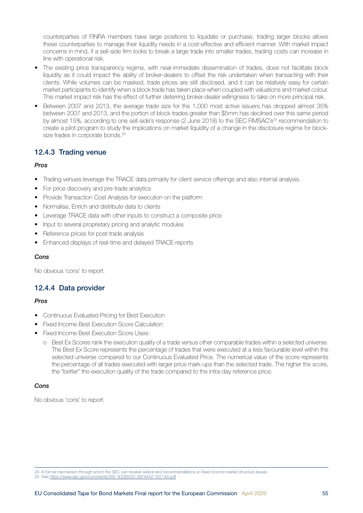<span id="page-54-0"></span>counterparties of FINRA members have large positions to liquidate or purchase, trading larger blocks allows these counterparties to manage their liquidity needs in a cost-effective and efficient manner. With market impact concerns in mind, if a sell-side firm looks to break a large trade into smaller trades, trading costs can increase in line with operational risk.

- The existing price transparency regime, with near-immediate dissemination of trades, does not facilitate block liquidity as it could impact the ability of broker-dealers to offset the risk undertaken when transacting with their clients. While volumes can be masked, trade prices are still disclosed, and it can be relatively easy for certain market participants to identify when a block trade has taken place when coupled with valuations and market colour. This market impact risk has the effect of further deterring broker-dealer willingness to take on more principal risk.
- Between 2007 and 2013, the average trade size for the 1,000 most active issuers has dropped almost 35% between 2007 and 2013, and the portion of block trades greater than \$5mm has declined over this same period by almost 15%, according to one sell-side's response (2 June 2018) to the SEC FIMSAC's<sup>24</sup> recommendation to create a pilot program to study the implications on market liquidity of a change in the disclosure regime for blocksize trades in corporate bonds.<sup>25</sup>

## 12.4.3 Trading venue

#### *Pros*

- Trading venues leverage the TRACE data primarily for client service offerings and also internal analysis.
- For price discovery and pre-trade analytics
- Provide Transaction Cost Analysis for execution on the platform
- Normalise, Enrich and distribute data to clients
- Leverage TRACE data with other inputs to construct a composite price
- Input to several proprietary pricing and analytic modules
- Reference prices for post-trade analysis
- Enhanced displays of real-time and delayed TRACE reports

#### *Cons*

No obvious 'cons' to report.

### 12.4.4 Data provider

#### *Pros*

- Continuous Evaluated Pricing for Best Execution
- Fixed Income Best Execution Score Calculation
- Fixed Income Best Execution Score Uses:
	- o Best Ex Scores rank the execution quality of a trade versus other comparable trades within a selected universe. The Best Ex Score represents the percentage of trades that were executed at a less favourable level within the selected universe compared to our Continuous Evaluated Price. The numerical value of the score represents the percentage of all trades executed with larger price mark-ups than the selected trade. The higher the score, the "better" the execution quality of the trade compared to the intra-day reference price.

#### *Cons*

No obvious 'cons' to report.

25 See <https://www.sec.gov/comments/265-30/26530-3974442-167144.pdf>

<sup>24</sup> A formal mechanism through which the SEC can receive advice and recommendations on fixed income market structure issues.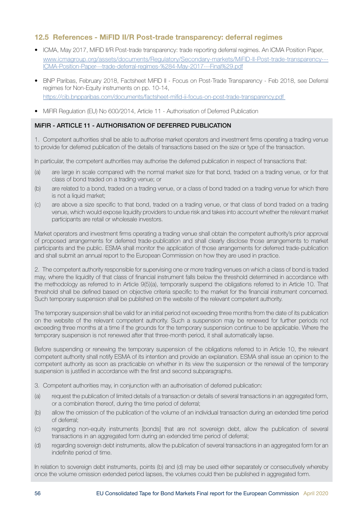### <span id="page-55-0"></span>12.5 References - MiFID II/R Post-trade transparency: deferral regimes

- ICMA, May 2017, MiFID II/R Post-trade transparency: trade reporting deferral regimes. An ICMA Position Paper, [www.icmagroup.org/assets/documents/Regulatory/Secondary-markets/MiFID-II-Post-trade-transparency---](http://www.icmagroup.org/assets/documents/Regulatory/Secondary-markets/MiFID-II-Post-trade-transparency---ICMA-Position-Paper---trade-deferral-regimes-%284-May-2017---Final%29.pdf) [ICMA-Position-Paper---trade-deferral-regimes-%284-May-2017---Final%29.pdf](http://www.icmagroup.org/assets/documents/Regulatory/Secondary-markets/MiFID-II-Post-trade-transparency---ICMA-Position-Paper---trade-deferral-regimes-%284-May-2017---Final%29.pdf)
- BNP Paribas, February 2018, Factsheet MiFID II Focus on Post-Trade Transparency Feb 2018, see Deferral regimes for Non-Equity instruments on pp. 10-14, <https://cib.bnpparibas.com/documents/factsheet-mifid-ii-focus-on-post-trade-transparency.pdf>
- MiFIR Regulation (FU) No 600/2014, Article 11 Authorisation of Deferred Publication

#### MiFIR - ARTICLE 11 - AUTHORISATION OF DEFERRED PUBLICATION

1. Competent authorities shall be able to authorise market operators and investment firms operating a trading venue to provide for deferred publication of the details of transactions based on the size or type of the transaction.

In particular, the competent authorities may authorise the deferred publication in respect of transactions that:

- (a) are large in scale compared with the normal market size for that bond, traded on a trading venue, or for that class of bond traded on a trading venue; or
- (b) are related to a bond, traded on a trading venue, or a class of bond traded on a trading venue for which there is not a liquid market;
- (c) are above a size specific to that bond, traded on a trading venue, or that class of bond traded on a trading venue, which would expose liquidity providers to undue risk and takes into account whether the relevant market participants are retail or wholesale investors.

Market operators and investment firms operating a trading venue shall obtain the competent authority's prior approval of proposed arrangements for deferred trade-publication and shall clearly disclose those arrangements to market participants and the public. ESMA shall monitor the application of those arrangements for deferred trade-publication and shall submit an annual report to the European Commission on how they are used in practice.

2. The competent authority responsible for supervising one or more trading venues on which a class of bond is traded may, where the liquidity of that class of financial instrument falls below the threshold determined in accordance with the methodology as referred to in Article 9(5)(a), temporarily suspend the obligations referred to in Article 10. That threshold shall be defined based on objective criteria specific to the market for the financial instrument concerned. Such temporary suspension shall be published on the website of the relevant competent authority.

The temporary suspension shall be valid for an initial period not exceeding three months from the date of its publication on the website of the relevant competent authority. Such a suspension may be renewed for further periods not exceeding three months at a time if the grounds for the temporary suspension continue to be applicable. Where the temporary suspension is not renewed after that three-month period, it shall automatically lapse.

Before suspending or renewing the temporary suspension of the obligations referred to in Article 10, the relevant competent authority shall notify ESMA of its intention and provide an explanation. ESMA shall issue an opinion to the competent authority as soon as practicable on whether in its view the suspension or the renewal of the temporary suspension is justified in accordance with the first and second subparagraphs.

- 3. Competent authorities may, in conjunction with an authorisation of deferred publication:
- (a) request the publication of limited details of a transaction or details of several transactions in an aggregated form, or a combination thereof, during the time period of deferral;
- (b) allow the omission of the publication of the volume of an individual transaction during an extended time period of deferral;
- (c) regarding non-equity instruments [bonds] that are not sovereign debt, allow the publication of several transactions in an aggregated form during an extended time period of deferral;
- (d) regarding sovereign debt instruments, allow the publication of several transactions in an aggregated form for an indefinite period of time.

In relation to sovereign debt instruments, points (b) and (d) may be used either separately or consecutively whereby once the volume omission extended period lapses, the volumes could then be published in aggregated form.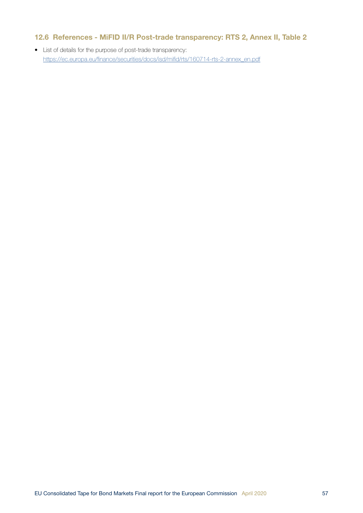## <span id="page-56-0"></span>12.6 References - MiFID II/R Post-trade transparency: RTS 2, Annex II, Table 2

• List of details for the purpose of post-trade transparency: [https://ec.europa.eu/finance/securities/docs/isd/mifid/rts/160714-rts-2-annex\\_en.pdf](https://ec.europa.eu/finance/securities/docs/isd/mifid/rts/160714-rts-2-annex_en.pdf)